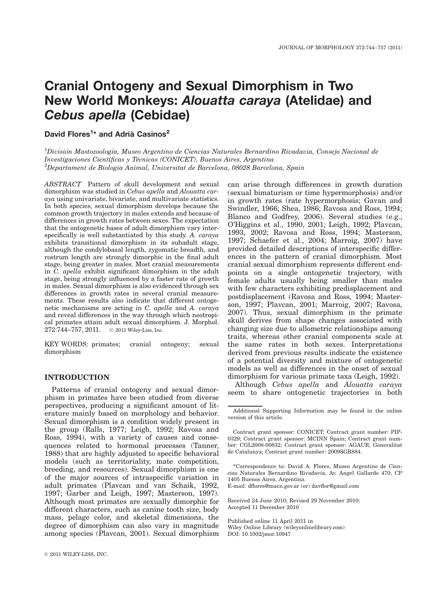# Cranial Ontogeny and Sexual Dimorphism in Two New World Monkeys: Alouatta caraya (Atelidae) and Cebus apella (Cebidae)

David Flores<sup>1</sup>\* and Adrià Casinos<sup>2</sup>

 $^1$ División Mastozoología, Museo Argentino de Ciencias Naturales Bernardino Rivadavia, Consejo Nacional de Investigaciones Científicas y Técnicas (CONICET), Buenos Aires, Argentina  ${}^{2}$ Departament de Biologia Animal, Universitat de Barcelona, 08028 Barcelona, Spain

ABSTRACT Pattern of skull development and sexual dimorphism was studied in Cebus apella and Alouatta caraya using univariate, bivariate, and multivariate statistics. In both species, sexual dimorphism develops because the common growth trajectory in males extends and because of differences in growth rates between sexes. The expectation that the ontogenetic bases of adult dimorphism vary interspecifically is well substantiated by this study. A. caraya exhibits transitional dimorphism in its subadult stage, although the condylobasal length, zygomatic breadth, and rostrum length are strongly dimorphic in the final adult stage, being greater in males. Most cranial measurements in C. apella exhibit significant dimorphism in the adult stage, being strongly influenced by a faster rate of growth in males. Sexual dimorphism is also evidenced through sex differences in growth rates in several cranial measurements. These results also indicate that different ontogenetic mechanisms are acting in C. apella and A. caraya and reveal differences in the way through which neotropical primates attain adult sexual dimorphism. J. Morphol. 272:744-757, 2011. © 2011 Wiley-Liss, Inc.

KEY WORDS: primates; cranial ontogeny; sexual dimorphism

#### INTRODUCTION

Patterns of cranial ontogeny and sexual dimorphism in primates have been studied from diverse perspectives, producing a significant amount of literature mainly based on morphology and behavior. Sexual dimorphism is a condition widely present in the group (Ralls, 1977; Leigh, 1992; Ravosa and Ross, 1994), with a variety of causes and consequences related to hormonal processes (Tanner, 1988) that are highly adjusted to specific behavioral models (such as territoriality, mate competition, breeding, and resources). Sexual dimorphism is one of the major sources of intraspecific variation in adult primates (Plavcan and van Schaik, 1992, 1997; Garber and Leigh, 1997; Masterson, 1997). Although most primates are sexually dimorphic for different characters, such as canine tooth size, body mass, pelage color, and skeletal dimensions, the degree of dimorphism can also vary in magnitude among species (Plavcan, 2001). Sexual dimorphism

can arise through differences in growth duration (sexual bimaturism or time hypermorphosis) and/or in growth rates (rate hypermorphosis; Gavan and Swindler, 1966; Shea, 1986; Ravosa and Ross, 1994; Blanco and Godfrey, 2006). Several studies (e.g., O'Higgins et al., 1990, 2001; Leigh, 1992; Plavcan, 1993, 2002; Ravosa and Ross, 1994; Masterson, 1997; Schaefer et al., 2004; Marroig, 2007) have provided detailed descriptions of interspecific differences in the pattern of cranial dimorphism. Most cranial sexual dimorphism represents different endpoints on a single ontogenetic trajectory, with female adults usually being smaller than males with few characters exhibiting predisplacement and postdisplacement (Ravosa and Ross, 1994; Masterson, 1997; Plavcan, 2001; Marroig, 2007; Ravosa, 2007). Thus, sexual dimorphism in the primate skull derives from shape changes associated with changing size due to allometric relationships among traits, whereas other cranial components scale at the same rates in both sexes. Interpretations derived from previous results indicate the existence of a potential diversity and mixture of ontogenetic models as well as differences in the onset of sexual dimorphism for various primate taxa (Leigh, 1992).

Although Cebus apella and Alouatta caraya seem to share ontogenetic trajectories in both

\*Correspondence to: David A. Flores, Museo Argentino de Ciencias Naturales Bernardino Rivadavia, Av. Angel Gallardo 470, CP 1405 Buenos Aires, Argentina.

E-mail: dflores@macn.gov.ar (or) davflor@gmail.com

Received 24 June 2010; Revised 29 November 2010; Accepted 11 December 2010

Published online 11 April 2011 in Wiley Online Library (wileyonlinelibrary.com) DOI: 10.1002/jmor.10947

Additional Supporting Information may be found in the online version of this article.

Contract grant sponsor: CONICET; Contract grant number: PIP-0329; Contract grant sponsor: MCINN Spain; Contract grant number: CGL2008-00832; Contract grant sponsor: AGAUR, Generalitat de Catalunya; Contract grant number: 2009SGR884.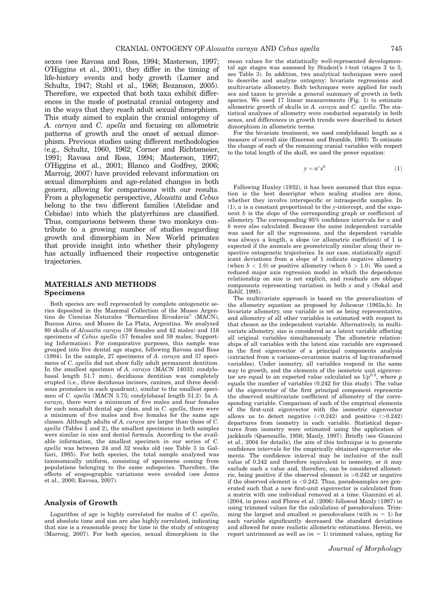sexes (see Ravosa and Ross, 1994; Masterson, 1997; O'Higgins et al., 2001), they differ in the timing of life-history events and body growth (Lumer and Schultz, 1947; Stahl et al., 1968; Bezanson, 2005). Therefore, we expected that both taxa exhibit differences in the mode of postnatal cranial ontogeny and in the ways that they reach adult sexual dimorphism. This study aimed to explain the cranial ontogeny of A. caraya and C. apella and focusing on allometric patterns of growth and the onset of sexual dimorphism. Previous studies using different methodologies (e.g., Schultz, 1960, 1962; Corner and Richtsmeier, 1991; Ravosa and Ross, 1994; Masterson, 1997; O'Higgins et al., 2001; Blanco and Godfrey, 2006; Marroig, 2007) have provided relevant information on sexual dimorphism and age-related changes in both genera, allowing for comparisons with our results. From a phylogenetic perspective, Alouatta and Cebus belong to the two different families (Atelidae and Cebidae) into which the platyrrhines are classified. Thus, comparisons between these two monkeys contribute to a growing number of studies regarding growth and dimorphism in New World primates that provide insight into whether their phylogeny has actually influenced their respective ontogenetic trajectories.

#### MATERIALS AND METHODS Specimens

Both species are well represented by complete ontogenetic series deposited in the Mammal Collection of the Museo Argentino de Ciencias Naturales ''Bernardino Rivadavia'' (MACN), Buenos Aires, and Museo de La Plata, Argentina. We analyzed 80 skulls of Alouatta caraya (38 females and 42 males) and 116 specimens of Cebus apella (57 females and 59 males; Supporting Information). For comparative purposes, this sample was grouped into five dental age stages, following Ravosa and Ross (1994). In the sample, 27 specimens of A. caraya and 37 specimens of C. apella did not show fully adult permanent dentition. In the smallest specimen of A. caraya (MACN 14033; condylobasal length 51.7 mm), deciduous dentition was completely erupted (i.e., three deciduous incisors, canines, and three deciduous premolars in each quadrant), similar to the smallest specimen of C. apella (MACN 3.75; condylobasal length 51.2). In A. caraya, there were a minimum of five males and four females for each nonadult dental age class, and in C. apella, there were a minimum of five males and five females for the same age classes. Although adults of A. caraya are larger than those of  $\tilde{C}$ . apella (Tables 1 and 2), the smallest specimens in both samples were similar in size and dental formula. According to the available information, the smallest specimen in our series of C. apella was between 24 and 32 weeks old (see Table 3 in Galliari, 1985). For both species, the total sample analyzed was taxonomically uniform, consisting of specimens coming from populations belonging to the same subspecies. Therefore, the effects of ecogeographic variations were avoided (see Jones et al., 2000; Ravosa, 2007).

#### Analysis of Growth

Logarithm of age is highly correlated for males of C. apella, and absolute time and size are also highly correlated, indicating that size is a reasonable proxy for time in the study of ontogeny (Marroig, 2007). For both species, sexual dimorphism in the

mean values for the statistically well-represented developmental age stages was assessed by Student's  $t$ -test (stages  $3$  to 5, see Table 3). In addition, two analytical techniques were used to describe and analyze ontogeny: bivariate regressions and multivariate allometry. Both techniques were applied for each sex and taxon to provide a general summary of growth in both species. We used 17 linear measurements (Fig. 1) to estimate allometric growth of skulls in A. caraya and C. apella. The statistical analyses of allometry were conducted separately in both sexes, and differences in growth trends were described to detect dimorphism in allometric terms.

For the bivariate treatment, we used condylobasal length as a measure of overall size (Emerson and Bramble, 1993). To estimate the change of each of the remaining cranial variables with respect to the total length of the skull, we used the power equation:

$$
y = a^* x^b \tag{1}
$$

Following Huxley (1932), it has been assumed that this equation is the best descriptor when scaling studies are done, whether they involve interspecific or intraspecific samples. In  $(1)$ ,  $\alpha$  is a constant proportional to the y-intercept, and the exponent  $b$  is the slope of the corresponding graph or coefficient of allometry. The corresponding  $95\%$  confidence intervals for  $a$  and b were also calculated. Because the same independent variable was used for all the regressions, and the dependent variable was always a length, a slope (or allometric coefficient) of 1 is expected if the animals are geometrically similar along their respective ontogenetic trajectories. In our case, statistically significant deviations from a slope of 1 indicate negative allometry (when  $b < 1.0$ ) or positive allometry (when  $b > 1.0$ ). We used a reduced major axis regression model in which the dependence relationship on size is not explicit, and residuals are oblique components representing variation in both  $x$  and  $y$  (Sokal and Rohlf, 1995).

The multivariate approach is based on the generalization of the allometry equation as proposed by Jolicoeur (1963a,b). In bivariate allometry, one variable is set as being representative, and allometry of all other variables is estimated with respect to that chosen as the independent variable. Alternatively, in multivariate allometry, size is considered as a latent variable affecting all original variables simultaneously. The allometric relationships of all variables with the latent size variable are expressed in the first eigenvector of a principal components analysis (extracted from a variance-covariance matrix of log-transformed variables). Under isometry, all variables respond in the same way to growth, and the elements of the isometric unit eigenvector are equal to an expected value calculated as  $1/p^{0.5}$ , where p equals the number of variables (0.242 for this study). The value of the eigenvector of the first principal component represents the observed multivariate coefficient of allometry of the corresponding variable. Comparison of each of the empirical elements of the first-unit eigenvector with the isometric eigenvector allows us to detect negative  $( $0.242$ )$  and positive  $(>0.242)$ departures from isometry in each variable. Statistical departures from isometry were estimated using the application of jackknife (Quenouille, 1956; Manly, 1997). Briefly (see Giannini et al., 2004 for details), the aim of this technique is to generate confidence intervals for the empirically obtained eigenvector elements. The confidence interval may be inclusive of the null value of 0.242 and therefore equivalent to isometry, or it may exclude such a value and, therefore, can be considered allometric, being positive if the observed element is  $>0.242$  or negative if the observed element is  $< 0.242$ . Thus, pseudosamples are generated such that a new first-unit eigenvector is calculated from a matrix with one individual removed at a time. Giannini et al. (2004, in press) and Flores et al. (2006) followed Manly (1997) in using trimmed values for the calculation of pseudovalues. Trimming the largest and smallest m pseudovalues (with  $m = 1$ ) for each variable significantly decreased the standard deviations and allowed for more realistic allometric estimations. Herein, we report untrimmed as well as  $(m = 1)$  trimmed values, opting for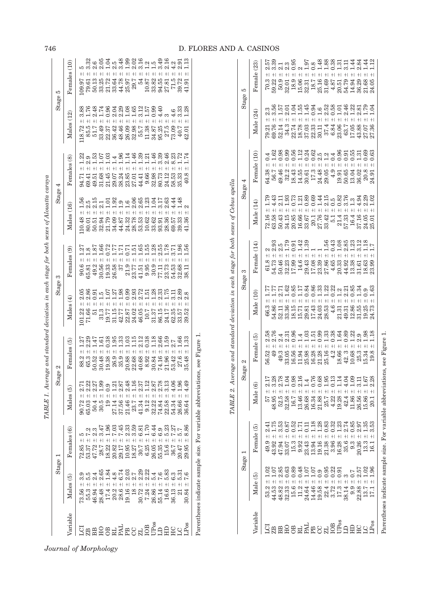|                      |                                                                                                                                                                                                                                                                                                                        | Stage 1                                                            |                                                                                                                                                                                                                                                                                                                                 | Stage 2                                                                                     | Stage 3                                                                                               |                                                                 | Stage $4$                                                           |                 | Stage 5                                                                                                                     |                                       |
|----------------------|------------------------------------------------------------------------------------------------------------------------------------------------------------------------------------------------------------------------------------------------------------------------------------------------------------------------|--------------------------------------------------------------------|---------------------------------------------------------------------------------------------------------------------------------------------------------------------------------------------------------------------------------------------------------------------------------------------------------------------------------|---------------------------------------------------------------------------------------------|-------------------------------------------------------------------------------------------------------|-----------------------------------------------------------------|---------------------------------------------------------------------|-----------------|-----------------------------------------------------------------------------------------------------------------------------|---------------------------------------|
| ariable              | Males (5)                                                                                                                                                                                                                                                                                                              | Females (6)                                                        | $M$ ales (5                                                                                                                                                                                                                                                                                                                     | Females $(5)$                                                                               | Males(4)                                                                                              | Females (9)                                                     | (16)<br>$_{\rm Males}$                                              | Females (8)     | $\widetilde{\Xi}$<br>Males                                                                                                  | Females (10)                          |
|                      |                                                                                                                                                                                                                                                                                                                        | $^{+}$                                                             | $\pm$                                                                                                                                                                                                                                                                                                                           | 1.27                                                                                        | $^{+1}$<br>101.22                                                                                     |                                                                 | $+1$<br>10.48                                                       | $^{+}$<br>94.71 | $^{+}$<br>18.72                                                                                                             | .09.97                                |
|                      |                                                                                                                                                                                                                                                                                                                        | $^{+}$                                                             | 90.72                                                                                                                                                                                                                                                                                                                           | 2.29                                                                                        |                                                                                                       | $\begin{array}{c} 90.6 \\ 65.81 \end{array}$                    | 80.01                                                               |                 |                                                                                                                             | 79.61                                 |
| .<br>288888438848698 | $\begin{array}{rll} 7 & 3.6 & 4 & 5 & 3.9 \\ 7 & 5 & 5 & 5 & 3.4 \\ 6 & 5 & 3 & 4 & 4 & 4 & 4 \\ 7 & 8 & 3 & 4 & 4 & 5 \\ 8 & 8 & 4 & 4 & 4 & 4 & 5 \\ 9 & 8 & 8 & 4 & 2 & 1 \\ 1 & 1 & 1 & 1 & 1 & 1 & 1 \\ 1 & 1 & 1 & 1 & 1 & 1 & 1 \\ 1 & 1 & 1 & 1 & 1 & 1 & 1 \\ 1 & 1 & 1 & 1 & 1 & 1 & 1 \\ 1 & 1 & 1 & 1 & 1$ | $+1$<br>285<br>2875 2838 275 2875 2876<br>2876 288 282 283 2846 28 |                                                                                                                                                                                                                                                                                                                                 |                                                                                             | 8 8 8 5 5 6 7 8 8 8 8 8 9 9 5 6 8 8 9 5 7<br>8 8 9 5 5 6 7 8 9 8 9 9 7 5 8 9 8 9 5 7<br>$^{+1}$<br>15 | $^{+}$                                                          | s n n – 100 0 0 0 0 0 0 1 1 0 0 4<br>Ladda Linnadi<br>$+1$<br>50.51 |                 | 8 8 9 8 4 9 4 9 5 8 9 9 9 1 5 9 9<br>8 5 4 5 5 5 9 9 9 9 1 5 9 9<br>6 1 8 1 0 9 8 9 1 1 8 1 0 9<br>$+1$<br>$85.5$<br>$51.7$ | 50.13                                 |
|                      |                                                                                                                                                                                                                                                                                                                        | $+$                                                                | $^{+1}$                                                                                                                                                                                                                                                                                                                         | t d 38 8 39 9 9 9 30 9 80 9<br>H d 3 9 3 9 9 9 9 9 9 9 9 9 9<br>H d 3 4 H d 4 3 9 4 9 9 9 9 | +I<br>31.3                                                                                            | $49.36$<br>$30.538$<br>$30.98$<br>$26$                          | $^{+}$                                                              | +I              | $+1$                                                                                                                        | $\frac{6}{2.05}$                      |
|                      |                                                                                                                                                                                                                                                                                                                        |                                                                    |                                                                                                                                                                                                                                                                                                                                 |                                                                                             |                                                                                                       |                                                                 | +I<br>33.09<br>32.09<br>32.34                                       |                 | $^{+}$                                                                                                                      | 33.25<br>21.72<br>33.64               |
|                      |                                                                                                                                                                                                                                                                                                                        |                                                                    | $\pm$                                                                                                                                                                                                                                                                                                                           |                                                                                             | $^{+}$                                                                                                |                                                                 | $^{+}$                                                              | +I              | $+1$                                                                                                                        | $3.48$<br>$-2.5$<br>$-3.48$<br>$+1$   |
|                      |                                                                                                                                                                                                                                                                                                                        | $^{+}$                                                             | $+1$                                                                                                                                                                                                                                                                                                                            |                                                                                             | $^{+}$                                                                                                |                                                                 | $^{+}$                                                              | $\pm$           | $+1$                                                                                                                        | $\pm$<br>44.78                        |
|                      |                                                                                                                                                                                                                                                                                                                        | $^{+}$                                                             | $+1$                                                                                                                                                                                                                                                                                                                            |                                                                                             | $^{+}$                                                                                                |                                                                 | $^{+}$                                                              |                 | $+1$                                                                                                                        | 1.99<br>25.97                         |
|                      |                                                                                                                                                                                                                                                                                                                        | $+1$                                                               | $\overline{+}$<br>$\begin{array}{l} 27.14 \\ 27.56 \\ 23.7 \\ 24.9 \\ 25.1 \\ 26.1 \\ 27.1 \\ 28.1 \\ 29.1 \\ 20.2 \\ 21.2 \\ 22.3 \\ 23.2 \\ 24.3 \\ 25.3 \\ 26.5 \\ 27.4 \\ 28.5 \\ 29.5 \\ 20.6 \\ 24.3 \\ 26.6 \\ 25.6 \\ 26.5 \\ 27.5 \\ 28.5 \\ 29.5 \\ 20.5 \\ 24.5 \\ 26.5 \\ 27.5 \\ 28.5 \\ 29.5 \\ 29.5 \\ 20.5 \\ $ |                                                                                             | $+1$                                                                                                  | 21.9<br>23.75 5.9.9.11 72.78.88.11<br>23.41 9 30 7 7.81 5.83.11 | $+1$<br>24.32<br>28.53<br>53.52<br>10.62                            | $^{+}$          | $+1$                                                                                                                        | $\ddot{}$<br>29.7                     |
|                      |                                                                                                                                                                                                                                                                                                                        | $^{+}$                                                             | $+$                                                                                                                                                                                                                                                                                                                             |                                                                                             | $+1$                                                                                                  |                                                                 | $\pm$                                                               | $\pm$           | $\pm$                                                                                                                       | 2.19<br>2.19<br>2.1<br>54             |
|                      |                                                                                                                                                                                                                                                                                                                        | $+1$                                                               | $+1$                                                                                                                                                                                                                                                                                                                            |                                                                                             | $^{+}$                                                                                                |                                                                 | $\overline{+}$                                                      | $^{+}$          | $+1$                                                                                                                        | 10.87                                 |
|                      |                                                                                                                                                                                                                                                                                                                        | $\frac{1}{2}$                                                      |                                                                                                                                                                                                                                                                                                                                 |                                                                                             | $^{+}$                                                                                                |                                                                 | $+1$                                                                | $^{+}$          | $+1$                                                                                                                        | 33.82                                 |
|                      |                                                                                                                                                                                                                                                                                                                        | $55.35 +$<br>15.6 +<br>36.7 +                                      |                                                                                                                                                                                                                                                                                                                                 |                                                                                             | +I                                                                                                    |                                                                 | 82<br>33.36<br>33.38                                                | $^{+1}$         | $+1$                                                                                                                        | $1.59$<br>$-3.56$<br>$-3.16$<br>94.55 |
|                      |                                                                                                                                                                                                                                                                                                                        |                                                                    |                                                                                                                                                                                                                                                                                                                                 |                                                                                             |                                                                                                       |                                                                 | $^{+1}$                                                             |                 |                                                                                                                             | 27.81                                 |
|                      |                                                                                                                                                                                                                                                                                                                        |                                                                    | $+1$                                                                                                                                                                                                                                                                                                                            |                                                                                             |                                                                                                       |                                                                 | 757                                                                 |                 | $+1$                                                                                                                        | 71.5                                  |
|                      |                                                                                                                                                                                                                                                                                                                        | $+1$                                                               | $\pm$                                                                                                                                                                                                                                                                                                                           | 27.6                                                                                        |                                                                                                       | 96.                                                             | 1.48<br>39.33                                                       |                 | $\frac{4}{3}$ .33<br>$\frac{3}{2}$ .28<br>$+1$                                                                              |                                       |
|                      |                                                                                                                                                                                                                                                                                                                        | 20.47<br>29.95                                                     | $\ddagger$                                                                                                                                                                                                                                                                                                                      | 1.33<br>35.48                                                                               |                                                                                                       |                                                                 | 41.36                                                               |                 |                                                                                                                             | 39.72<br>41.91                        |
|                      |                                                                                                                                                                                                                                                                                                                        |                                                                    |                                                                                                                                                                                                                                                                                                                                 |                                                                                             |                                                                                                       |                                                                 |                                                                     |                 |                                                                                                                             |                                       |

Parentheses indicate sample size. For variable abbreviations, see Figure 1. Parentheses indicate sample size. For variable abbreviations, see Figure 1.

 $m$ olla TABLE 2. Average and standard deviation in each stage for both sexes of Cebus apella  $\alpha f$  Cabu  $for$   $hoth$ ृ  $ab \circ ta$  $\cdot$ and etandard doviation ٠,  $T_{ABI}F9An$ 

|                    |                                            |                                                                         | ADLL 4. A                                                                                                                                                                                                                                                                                    | neinadn smaa ol o saras nino. In aktie in monimum monimum as an aktie and a series of one after the |                                                                          |                                                                         |                                                                                                                                        |                                                                                     |                                                                                                                    |                                                                                                                                                                                     |
|--------------------|--------------------------------------------|-------------------------------------------------------------------------|----------------------------------------------------------------------------------------------------------------------------------------------------------------------------------------------------------------------------------------------------------------------------------------------|-----------------------------------------------------------------------------------------------------|--------------------------------------------------------------------------|-------------------------------------------------------------------------|----------------------------------------------------------------------------------------------------------------------------------------|-------------------------------------------------------------------------------------|--------------------------------------------------------------------------------------------------------------------|-------------------------------------------------------------------------------------------------------------------------------------------------------------------------------------|
|                    | Stage                                      |                                                                         | Stage !                                                                                                                                                                                                                                                                                      | N                                                                                                   |                                                                          | Stage 3                                                                 | Stage $4$                                                                                                                              |                                                                                     | Stage <i>i</i>                                                                                                     | w                                                                                                                                                                                   |
| <sup>ariable</sup> | Male                                       | Female (5                                                               | Male (6                                                                                                                                                                                                                                                                                      | Female (5)                                                                                          | Male                                                                     | Female (14)                                                             | Male (                                                                                                                                 | $\widetilde{\Xi}$<br>Female (                                                       | Male (24                                                                                                           | Female (23)                                                                                                                                                                         |
| ਕ੍ਰ                | 53.2                                       | $+1$<br>49.9                                                            |                                                                                                                                                                                                                                                                                              | 2.58<br>$\pm$<br>56.52                                                                              | 1.77<br>$^{+}$<br>66.3                                                   |                                                                         | 1.79                                                                                                                                   | $+1$                                                                                | 2.3                                                                                                                | 2.57                                                                                                                                                                                |
|                    | 44.53                                      | $\pm$<br>43.92                                                          |                                                                                                                                                                                                                                                                                              | 9                                                                                                   | $^{+}$<br>54.86                                                          |                                                                         | $\pm$                                                                                                                                  | $\pm$<br>54.38<br>56.7                                                              |                                                                                                                    |                                                                                                                                                                                     |
|                    | 48.82                                      | 3.53<br>$\pm$<br>47.94                                                  | $\begin{array}{l} 577 + 2.17 \\ 48.95 + 1.03 \\ 52.8 \\ 52.5 + 1.03 \\ 32.5 + 1.03 \\ 32.5 + 1.03 \\ 32.5 + 1.03 \\ 32.5 + 1.03 \\ 32.5 + 1.03 \\ 32.5 + 1.03 \\ 32.5 + 1.03 \\ 32.5 + 1.03 \\ 32.5 + 1.03 \\ 32.5 + 1.03 \\ 32.5 + 1.03 \\ 32.5 + 1.03 \\ 32.5 + 1.03 \\ 32.5 + 1.03 \\ 32$ | & 4 ដ<br>សសស<br>49.3                                                                                | $+1$<br>52.11                                                            | $\pm$                                                                   | $\pm$<br>$72.16$<br>$63.58$<br>$50.43$                                                                                                 | $+1$<br>19.46                                                                       | $3.56$<br>$1.57$<br>79.21<br>69.76<br>52.14                                                                        | $\begin{array}{c} 70.3 \\ 79.22 \\ 59.31 \\ 9.03 \\ 18.31 \\ 19.06 \\ 19.33 \\ 11.5 \\ 13.7 \\ 14.8 \\ 13.4 \\ 14.87 \\ 15.7 \\ 16.9 \\ 13.7 \\ 14.8 \\ 1\\ 4.8 \\ 1\\ \end{array}$ |
|                    | 32.33                                      | 0.87<br>$+1$<br>33.07                                                   |                                                                                                                                                                                                                                                                                              |                                                                                                     | $+1$                                                                     |                                                                         | 1.93<br>34.15                                                                                                                          | $+1$<br>32.2                                                                        | 34.3                                                                                                               | $+1$                                                                                                                                                                                |
|                    | 0.89<br>0.89<br>$15.6$ :                   | 0.52<br>$\frac{1}{2}$<br>15.3                                           |                                                                                                                                                                                                                                                                                              | $^{+}$<br>$33.05$<br>$16.56$<br>$11.94$                                                             | $^{+1}$<br>33.36<br>18.15<br>15.81<br>29.81                              | $2.5$<br>$1.9$<br>$1.42$<br>$1.42$<br>$\pm$                             | 0.73<br>$\pm$<br>20.85                                                                                                                 | $+$                                                                                 |                                                                                                                    | 0.95<br>$+1$                                                                                                                                                                        |
|                    | 0.48<br>$\frac{1}{2}$<br>$11.2\,$          | Ę<br>9.92                                                               |                                                                                                                                                                                                                                                                                              |                                                                                                     |                                                                          | $+1$                                                                    | +I<br>16.66<br>33.67                                                                                                                   | $+1$<br>$\begin{array}{r} 18.43 \\ 18.55 \\ 30.61 \\ 24.48 \\ 28.05 \\ \end{array}$ |                                                                                                                    |                                                                                                                                                                                     |
|                    |                                            |                                                                         |                                                                                                                                                                                                                                                                                              |                                                                                                     | $+1$                                                                     | 1.39                                                                    | $\pm$                                                                                                                                  | $\pm$                                                                               |                                                                                                                    |                                                                                                                                                                                     |
|                    | $24.64 \pm 14.46$                          | $-18$<br>$\begin{array}{c} 23.43 \pm \\ 13.94 \pm \\ 19.16 \end{array}$ |                                                                                                                                                                                                                                                                                              | $^{+1}$<br>25.98<br>16.28                                                                           | $\overline{+}$                                                           |                                                                         | $+$                                                                                                                                    | $\bf + $                                                                            | $\ddagger$                                                                                                         | $\frac{1}{2}$                                                                                                                                                                       |
|                    | $\pm$<br>19.58                             |                                                                         |                                                                                                                                                                                                                                                                                              | $\pm$<br>21.28<br>25.16                                                                             | $+1$                                                                     | $+1$                                                                    | $+1$                                                                                                                                   | $^{+}$                                                                              |                                                                                                                    | $\pm$                                                                                                                                                                               |
|                    | $1.07$<br>$1.03$<br>$0.95$<br>$+1$<br>22.4 | $\frac{1.28}{0.83}$<br>$21.38 \pm 0.338 \pm 0.3396 \pm 0.01$            |                                                                                                                                                                                                                                                                                              | $6.48758888883$<br>$0.4958888883$                                                                   | 1885488333 1834.83<br>1985488333 1884.8<br>$+1$<br>$\frac{17.43}{24.03}$ | 1.56                                                                    | 138945, 0365, 04<br>10045, 0365, 04<br>$+1$<br>$\begin{array}{c} 20.1 \\ 27.76 \\ 33.42 \\ 5.1 \\ 1.4 \\ 57.33 \\ 16.4 \\ \end{array}$ | $^{+}$                                                                              | s ministra e sa senta e senta<br>si ni ni si si si si si si si si si<br>7<br>22.78.3311438.57<br>23.83.83.93.93.75 |                                                                                                                                                                                     |
|                    | $\frac{22}{0.91}$<br>$\frac{1}{1}$<br>3.72 | 0.32                                                                    |                                                                                                                                                                                                                                                                                              | 4.2                                                                                                 | $+1$<br>4.6                                                              | $+1$                                                                    | $+1$                                                                                                                                   | $+$<br>4.9                                                                          |                                                                                                                    |                                                                                                                                                                                     |
|                    | $\frac{1}{1}$<br>17.3                      | $^{1.23}$<br>$\pm$<br>16.28                                             |                                                                                                                                                                                                                                                                                              | 18.66                                                                                               | $+1$<br>21.31                                                            | $\begin{array}{c} 0.43 \\ 1.08 \end{array}$<br>$\pm$                    | $+$                                                                                                                                    | $\pm$                                                                               | $\pm$                                                                                                              | 20.51                                                                                                                                                                               |
|                    | $\pm$<br>38.14                             | $\frac{2.74}{0.85}$<br>$35.6 +$                                         |                                                                                                                                                                                                                                                                                              | $42.3$<br>10.68                                                                                     | 49.31                                                                    | 2.85<br>44.92<br>13.38                                                  | $+1$                                                                                                                                   | $\pm$<br>19.91<br>50.65                                                             |                                                                                                                    | 54.79                                                                                                                                                                               |
|                    | $+1$<br>9.9                                | $9.3 +$                                                                 |                                                                                                                                                                                                                                                                                              |                                                                                                     | $+1$<br>12.86                                                            | 1.23<br>$\pm$                                                           | $\ddagger$                                                                                                                             | $+1$<br>13.04                                                                       |                                                                                                                    | 14.94                                                                                                                                                                               |
|                    | $+1$<br>22.88                              | 2.97<br>$+1$<br>20.26                                                   |                                                                                                                                                                                                                                                                                              | 25.3                                                                                                | $\pm$<br>31.55                                                           | 3.12<br>$\pm$<br>$\begin{array}{c} 31.61 \\ 18.63 \\ 23.99 \end{array}$ | $\pm$<br>37.16                                                                                                                         | $\pm$<br>36.02                                                                      | $43.88$<br>$27.07$                                                                                                 | 36.29                                                                                                                                                                               |
|                    | 13.7                                       | $\frac{35}{2}$<br>$13.3 +$                                              |                                                                                                                                                                                                                                                                                              | $\frac{1.98}{1.18}$<br>15.34<br>19.8                                                                | $+1$<br>19.25<br>24.73                                                   | $\frac{8}{1}$                                                           | 2.29<br>24.05                                                                                                                          | $+1$<br>20.8                                                                        |                                                                                                                    | 21.68<br>24.05                                                                                                                                                                      |
|                    | 171                                        | 3.53<br>$\frac{1}{6}$                                                   |                                                                                                                                                                                                                                                                                              |                                                                                                     |                                                                          |                                                                         | 25.01                                                                                                                                  | 24.91                                                                               | 27.36                                                                                                              |                                                                                                                                                                                     |
|                    |                                            |                                                                         |                                                                                                                                                                                                                                                                                              |                                                                                                     |                                                                          |                                                                         |                                                                                                                                        |                                                                                     |                                                                                                                    |                                                                                                                                                                                     |

Parentheses indicate sample size. For variable abbreviations, see Figure 1.

Parentheses indicate sample size. For variable abbreviations, see Figure 1.

TABLE 1. Average and standard deviation in each stage for both sexes of Alouatta caraya

TABLE 1. Average and standard deviation in each stage for both sexes of Alouatta caraya

Journal of Morphology

# 746 D. FLORES AND A. CASINOS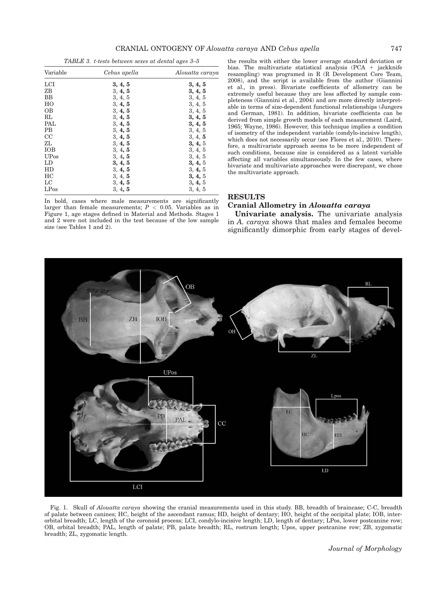TABLE 3. t-tests between sexes at dental ages 3–5

| Variable     | Cebus apella | Alouatta caraya |
|--------------|--------------|-----------------|
| <b>LCI</b>   | 3, 4, 5      | 3, 4, 5         |
| ZΒ           | 3, 4, 5      | 3, 4, 5         |
| BB           | 3, 4, 5      | 3, 4, 5         |
| HO           | 3, 4, 5      | 3, 4, 5         |
| <b>OB</b>    | 3, 4, 5      | 3, 4, 5         |
| RL           | 3, 4, 5      | 3, 4, 5         |
| PAL          | 3, 4, 5      | 3, 4, 5         |
| <b>PB</b>    | 3, 4, 5      | 3, 4, 5         |
| CC           | 3, 4, 5      | 3, 4, 5         |
| ZL           | 3, 4, 5      | 3, 4, 5         |
| <b>IOB</b>   | 3, 4, 5      | 3, 4, 5         |
| <b>UP</b> os | 3, 4, 5      | 3, 4, 5         |
| LD           | 3, 4, 5      | 3, 4, 5         |
| HD           | 3, 4, 5      | 3, 4, 5         |
| HC           | 3, 4, 5      | 3, 4, 5         |
| LC           | 3, 4, 5      | 3, 4, 5         |
| LPos         | 3, 4, 5      | 3, 4, 5         |

In bold, cases where male measurements are significantly larger than female measurements;  $P < 0.05$ . Variables as in Figure 1, age stages defined in Material and Methods. Stages 1 and 2 were not included in the test because of the low sample size (see Tables 1 and 2).

the results with either the lower average standard deviation or bias. The multivariate statistical analysis (PCA  $+$  jackknife resampling) was programed in R (R Development Core Team, 2008), and the script is available from the author (Giannini et al., in press). Bivariate coefficients of allometry can be extremely useful because they are less affected by sample completeness (Giannini et al., 2004) and are more directly interpretable in terms of size-dependent functional relationships (Jungers and German, 1981). In addition, bivariate coefficients can be derived from simple growth models of each measurement (Laird, 1965; Wayne, 1986). However, this technique implies a condition of isometry of the independent variable (condylo-incisive length), which does not necessarily occur (see Flores et al., 2010). Therefore, a multivariate approach seems to be more independent of such conditions, because size is considered as a latent variable affecting all variables simultaneously. In the few cases, where bivariate and multivariate approaches were discrepant, we chose the multivariate approach.

#### RESULTS

# Cranial Allometry in Alouatta caraya

Univariate analysis. The univariate analysis in A. caraya shows that males and females become significantly dimorphic from early stages of devel-



Fig. 1. Skull of Alouatta caraya showing the cranial measurements used in this study. BB, breadth of braincase; C-C, breadth of palate between canines; HC, height of the ascendant ramus; HD, height of dentary; HO, height of the occipital plate; IOB, interorbital breadth; LC, length of the coronoid process; LCI, condylo-incisive length; LD, length of dentary; LPos, lower postcanine row; OB, orbital breadth; PAL, length of palate; PB, palate breadth; RL, rostrum length; Upos, upper postcanine row; ZB, zygomatic breadth; ZL, zygomatic length.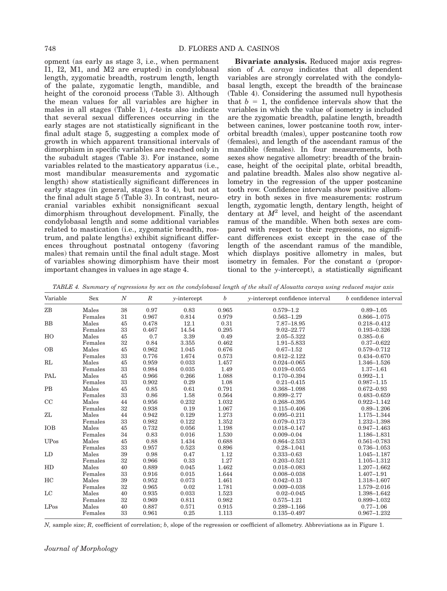opment (as early as stage 3, i.e., when permanent I1, I2, M1, and M2 are erupted) in condylobasal length, zygomatic breadth, rostrum length, length of the palate, zygomatic length, mandible, and height of the coronoid process (Table 3). Although the mean values for all variables are higher in males in all stages (Table 1),  $t$ -tests also indicate that several sexual differences occurring in the early stages are not statistically significant in the final adult stage 5, suggesting a complex mode of growth in which apparent transitional intervals of dimorphism in specific variables are reached only in the subadult stages (Table 3). For instance, some variables related to the masticatory apparatus (i.e., most mandibular measurements and zygomatic length) show statistically significant differences in early stages (in general, stages 3 to 4), but not at the final adult stage 5 (Table 3). In contrast, neurocranial variables exhibit nonsignificant sexual dimorphism throughout development. Finally, the condylobasal length and some additional variables related to mastication (i.e., zygomatic breadth, rostrum, and palate lengths) exhibit significant differences throughout postnatal ontogeny (favoring males) that remain until the final adult stage. Most of variables showing dimorphism have their most important changes in values in age stage 4.

Bivariate analysis. Reduced major axis regression of A. caraya indicates that all dependent variables are strongly correlated with the condylobasal length, except the breadth of the braincase (Table 4). Considering the assumed null hypothesis that  $b = 1$ , the confidence intervals show that the variables in which the value of isometry is included are the zygomatic breadth, palatine length, breadth between canines, lower postcanine tooth row, interorbital breadth (males), upper postcanine tooth row (females), and length of the ascendant ramus of the mandible (females). In four measurements, both sexes show negative allometry: breadth of the braincase, height of the occipital plate, orbital breadth, and palatine breadth. Males also show negative allometry in the regression of the upper postcanine tooth row. Confidence intervals show positive allometry in both sexes in five measurements: rostrum length, zygomatic length, dentary length, height of dentary at  $M^2$  level, and height of the ascendant ramus of the mandible. When both sexes are compared with respect to their regressions, no significant differences exist except in the case of the length of the ascendant ramus of the mandible, which displays positive allometry in males, but isometry in females. For the constant  $\alpha$  (proportional to the  $y$ -intercept), a statistically significant

TABLE 4. Summary of regressions by sex on the condylobasal length of the skull of Alouatta caraya using reduced major axis

| Variable         | <b>Sex</b> | $\boldsymbol{N}$ | $\boldsymbol{R}$ | $y-intercept$ | b     | y-intercept confidence interval | b confidence interval |
|------------------|------------|------------------|------------------|---------------|-------|---------------------------------|-----------------------|
| ZB               | Males      | 38               | 0.97             | 0.83          | 0.965 | $0.579 - 1.2$                   | $0.89 - 1.05$         |
|                  | Females    | 31               | 0.967            | 0.814         | 0.979 | $0.563 - 1.29$                  | 0.866-1.075           |
| <b>BB</b>        | Males      | 45               | 0.478            | 12.1          | 0.31  | 7.87-18.95                      | $0.218 - 0.412$       |
|                  | Females    | 33               | 0.467            | 14.54         | 0.295 | $9.02 - 22.77$                  | $0.193 - 0.326$       |
| HO               | Males      | 45               | 0.7              | 3.39          | 0.49  | 2.05-5.322                      | $0.385 - 0.6$         |
|                  | Females    | 32               | 0.84             | 3.355         | 0.462 | 1.91-5.833                      | $0.37 - 0.622$        |
| <b>OB</b>        | Males      | 45               | 0.962            | 1.045         | 0.676 | $0.67 - 1.52$                   | $0.579 - 0.712$       |
|                  | Females    | 33               | 0.776            | 1.674         | 0.573 | $0.812 - 2.122$                 | $0.434 - 0.670$       |
| RL               | Males      | 45               | 0.959            | 0.033         | 1.457 | $0.024 - 0.065$                 | 1.346-1.526           |
|                  | Females    | 33               | 0.984            | 0.035         | 1.49  | $0.019 - 0.055$                 | $1.37 - 1.61$         |
| PAL              | Males      | 45               | 0.966            | 0.266         | 1.088 | $0.170 - 0.394$                 | $0.992 - 1.1$         |
|                  | Females    | 33               | 0.902            | 0.29          | 1.08  | $0.21 - 0.415$                  | $0.987 - 1.15$        |
| <b>PB</b>        | Males      | 45               | 0.85             | 0.61          | 0.791 | $0.368 - 1.098$                 | $0.672 - 0.93$        |
|                  | Females    | 33               | 0.86             | 1.58          | 0.564 | $0.899 - 2.77$                  | $0.483 - 0.659$       |
| CC               | Males      | 44               | 0.956            | 0.232         | 1.032 | $0.268 - 0.395$                 | $0.922 - 1.142$       |
|                  | Females    | 32               | 0.938            | 0.19          | 1.067 | $0.115 - 0.406$                 | $0.89 - 1.206$        |
| ZL               | Males      | 44               | 0.942            | 0.129         | 1.273 | $0.095 - 0.211$                 | 1.175-1.344           |
|                  | Females    | 33               | 0.982            | 0.122         | 1.352 | $0.079 - 0.173$                 | 1.232-1.398           |
| <b>IOB</b>       | Males      | 45               | 0.732            | 0.056         | 1.198 | $0.018 - 0.147$                 | $0.947 - 1.463$       |
|                  | Females    | 34               | 0.83             | 0.016         | 1.530 | $0.009 - 0.04$                  | 1.186-1.831           |
| <b>UP</b> os     | Males      | 45               | 0.88             | 1.434         | 0.688 | $0.864 - 2.533$                 | $0.561 - 0.783$       |
|                  | Females    | 33               | 0.957            | 0.523         | 0.896 | $0.28 - 1.041$                  | 0.736-1.053           |
| LD               | Males      | 39               | 0.98             | 0.47          | 1.12  | $0.333 - 0.63$                  | $1.045 - 1.187$       |
|                  | Females    | 32               | 0.966            | 0.33          | 1.27  | $0.203 - 0.521$                 | $1.105 - 1.312$       |
| HD               | Males      | 40               | 0.889            | 0.045         | 1.462 | $0.018 - 0.083$                 | $1.207 - 1.662$       |
|                  | Females    | 33               | 0.916            | 0.015         | 1.644 | $0.008 - 0.038$                 | $1.407 - 1.91$        |
| HC               | Males      | 39               | 0.952            | 0.073         | 1.461 | $0.042 - 0.13$                  | 1.318-1.607           |
|                  | Females    | 32               | 0.965            | 0.02          | 1.781 | $0.009 - 0.038$                 | 1.579-2.016           |
| LC               | Males      | 40               | 0.935            | 0.033         | 1.523 | $0.02 - 0.045$                  | 1.398-1.642           |
|                  | Females    | 32               | 0.969            | 0.811         | 0.982 | $0.575 - 1.21$                  | $0.899 - 1.032$       |
| LP <sub>OS</sub> | Males      | 40               | 0.887            | 0.571         | 0.915 | $0.289 - 1.166$                 | $0.77 - 1.06$         |
|                  | Females    | 33               | 0.961            | 0.25          | 1.113 | $0.135 - 0.497$                 | $0.967 - 1.232$       |

 $N$ , sample size;  $R$ , coefficient of correlation;  $b$ , slope of the regression or coefficient of allometry. Abbreviations as in Figure 1.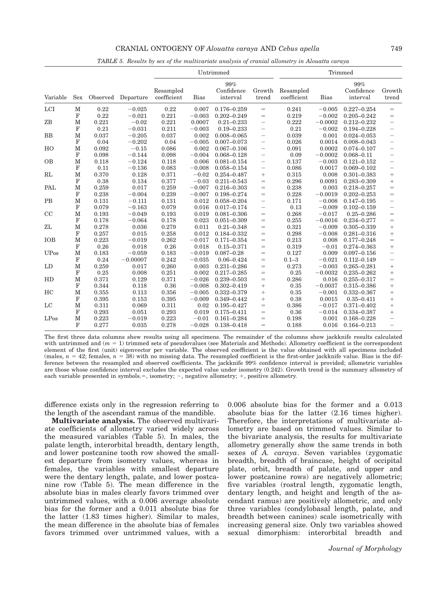#### CRANIAL ONTOGENY OF Alouatta caraya AND Cebus apella 749

TABLE 5. Results by sex of the multivariate analysis of cranial allometry in Alouatta caraya

|             |             |          |            |                          |             | Untrimmed                     |                                   |                          |             | Trimmed                       |                          |
|-------------|-------------|----------|------------|--------------------------|-------------|-------------------------------|-----------------------------------|--------------------------|-------------|-------------------------------|--------------------------|
| Variable    | Sex         | Observed | Departure  | Resampled<br>coefficient | <b>Bias</b> | 99%<br>Confidence<br>interval | Growth<br>trend                   | Resampled<br>coefficient | <b>Bias</b> | 99%<br>Confidence<br>interval | Growth<br>trend          |
| LCI         | $\mathbf M$ | 0.22     | $-0.025$   | 0.22                     | 0.007       | $0.176 - 0.259$               | $=$                               | 0.241                    | $-0.005$    | $0.227 - 0.254$               | $=$                      |
|             | $\mathbf F$ | 0.22     | $-0.021$   | 0.221                    | $-0.003$    | $0.202 - 0.249$               | $=$                               | 0.219                    | $-0.002$    | $0.205 - 0.242$               | $=$                      |
| ZB          | $\mathbf M$ | 0.221    | $-0.02$    | 0.221                    | 0.0007      | $0.21 - 0.233$                | $\overline{\phantom{0}}$          | 0.222                    | $-0.0002$   | $0.212 - 0.232$               | $\overline{\phantom{0}}$ |
|             | F           | 0.21     | $-0.031$   | 0.211                    | $-0.003$    | $0.19 - 0.233$                | $\overline{\phantom{0}}$          | 0.21                     | $-0.002$    | $0.194 - 0.228$               | $\overline{\phantom{0}}$ |
| <b>BB</b>   | M           | 0.037    | $-0.205$   | 0.037                    | 0.002       | $0.008 - 0.065$               | $\overline{\phantom{0}}$          | 0.039                    | 0.001       | $0.024 - 0.053$               | $\overline{\phantom{0}}$ |
|             | F           | 0.04     | $-0.202$   | 0.04                     | $-0.005$    | $0.007 - 0.073$               | $\overbrace{\phantom{123221111}}$ | 0.026                    | 0.0014      | $0.008 - 0.043$               | $\overline{\phantom{0}}$ |
| HO          | $\mathbf M$ | 0.092    | $-0.15$    | 0.086                    | 0.002       | $0.067 - 0.106$               | $\overline{\phantom{0}}$          | 0.091                    | 0.0002      | $0.074 - 0.107$               | $\overline{\phantom{0}}$ |
|             | $\mathbf F$ | 0.098    | $-0.144$   | 0.098                    | $-0.004$    | $0.068 - 0.128$               | $\overline{\phantom{0}}$          | 0.09                     | $-0.0002$   | $0.068 - 0.11$                | $\overline{\phantom{0}}$ |
| <b>OB</b>   | M           | 0.118    | $-0.124$   | 0.118                    | 0.006       | $0.081 - 0.154$               | $\overline{\phantom{0}}$          | 0.137                    | $-0.003$    | $0.121 - 0.152$               | $\overline{\phantom{0}}$ |
|             | $\mathbf F$ | 0.11     | $-0.136$   | 0.083                    | $-0.008$    | $0.058 - 0.154$               | $\qquad \qquad -$                 | 0.086                    | 0.0017      | $0.069 - 0.102$               | $\overline{\phantom{0}}$ |
| RL          | $\mathbf M$ | 0.370    | 0.128      | 0.371                    | $-0.02$     | $0.254 - 0.487$               | $^{+}$                            | 0.315                    | 0.008       | $0.301 - 0.383$               | $^{+}$                   |
|             | F           | 0.38     | 0.134      | 0.377                    | $-0.03$     | $0.211 - 0.543$               | $=$                               | 0.296                    | 0.0091      | $0.283 - 0.309$               | $^{+}$                   |
| PAL         | M           | 0.259    | 0.017      | 0.259                    | $-0.007$    | $0.216 - 0.303$               | $=$                               | 0.238                    | 0.003       | $0.218 - 0.257$               | $=$                      |
|             | F           | 0.238    | $-0.004$   | 0.239                    | $-0.007$    | $0.198 - 0.274$               | $=$                               | 0.228                    | $-0.0019$   | $0.202 - 0.253$               | $=$                      |
| PB          | $\mathbf M$ | 0.131    | $-0.111$   | 0.131                    | 0.012       | $0.058 - 0.204$               | $\overline{\phantom{0}}$          | 0.171                    | $-0.008$    | $0.147 - 0.195$               | $\overline{\phantom{0}}$ |
|             | $\mathbf F$ | 0.079    | $-0.163$   | 0.079                    | 0.016       | $0.017 - 0.174$               | $\qquad \qquad -$                 | 0.13                     | $-0.009$    | $0.102 - 0.159$               | $\overline{\phantom{0}}$ |
| CC          | M           | 0.193    | $-0.049$   | 0.193                    | 0.019       | $0.081 - 0.306$               | $=$                               | 0.268                    | $-0.017$    | $0.25 - 0.286$                | $=$                      |
|             | F           | 0.178    | $-0.064$   | 0.178                    | 0.023       | $0.051 - 0.309$               | $=$                               | 0.255                    | $-0.0016$   | $0.234 - 0.277$               | $=$                      |
| ZL          | $\mathbf M$ | 0.278    | 0.036      | 0.279                    | 0.011       | $0.21 - 0.348$                | $=$                               | 0.321                    | $-0.009$    | $0.305 - 0.339$               | $^{+}$                   |
|             | F           | 0.257    | 0.015      | 0.258                    | 0.012       | $0.184 - 0.332$               | $=$                               | 0.298                    | $-0.008$    | $0.281 - 0.316$               | $^{+}$                   |
| <b>IOB</b>  | M           | 0.223    | $-0.019$   | 0.262                    | $-0.017$    | $0.171 - 0.354$               | $=$                               | 0.213                    | 0.008       | $0.177 - 0.248$               | $=$                      |
|             | $\mathbf F$ | 0.26     | 0.018      | 0.26                     | 0.018       | $0.15 - 0.371$                | $=$                               | 0.319                    | $-0.01$     | $0.274 - 0.363$               | $^{+}$                   |
| <b>UPos</b> | $\mathbf M$ | 0.183    | $-0.059$   | 0.183                    | $-0.019$    | $0.087 - 0.28$                | $=$                               | 0.127                    | 0.009       | $0.097 - 0.156$               | $\overline{\phantom{0}}$ |
|             | F           | 0.24     | $-0.00007$ | 0.242                    | $-0.035$    | $0.06 - 0.424$                | $=$                               | $0.1 - 3$                | $-0.021$    | $0.112 - 0.149$               | $\overline{\phantom{0}}$ |
| LD          | M           | 0.259    | 0.017      | 0.260                    | 0.003       | $0.231 - 0.286$               | $=$                               | 0.273                    | $-0.003$    | $0.265 - 0.281$               | $^{+}$                   |
|             | F           | 0.25     | 0.008      | 0.251                    | 0.002       | $0.217 - 0.285$               | $=$                               | 0.25                     | $-0.0032$   | $0.235 - 0.262$               | $^{+}$                   |
| HD          | $\mathbf M$ | 0.371    | 0.129      | 0.371                    | $-0.026$    | $0.239 - 0.503$               | $=$                               | 0.286                    | 0.016       | $0.255 - 0.317$               | $=$                      |
|             | F           | 0.344    | 0.118      | 0.36                     | $-0.008$    | $0.302 - 0.419$               | $^{+}$                            | 0.35                     | $-0.0037$   | $0.315 - 0.386$               | $^{+}$                   |
| HC          | M           | 0.355    | 0.113      | 0.356                    | $-0.005$    | $0.332 - 0.379$               | $^{+}$                            | 0.35                     | $-0.001$    | $0.332 - 0.367$               | $^{+}$                   |
|             | F           | 0.395    | 0.153      | 0.395                    | $-0.009$    | $0.349 - 0.442$               | $^{+}$                            | 0.38                     | 0.0015      | $0.35 - 0.411$                | $^{+}$                   |
| LC          | $\mathbf M$ | 0.311    | 0.069      | 0.311                    | 0.02        | $0.195 - 0.427$               | $=$                               | 0.386                    | $-0.017$    | $0.371 - 0.402$               | $^{+}$                   |
|             | F           | 0.293    | 0.051      | 0.293                    | 0.019       | $0.175 - 0.411$               | $=$                               | 0.36                     | $-0.014$    | $0.334 - 0.387$               | $^{+}$                   |
| LPos        | M           | 0.223    | $-0.019$   | 0.223                    | $-0.01$     | $0.161 - 0.284$               | $=$                               | 0.198                    | 0.001       | $0.168 - 0.228$               | $\overline{\phantom{0}}$ |
|             | F           | 0.277    | 0.035      | 0.278                    | $-0.028$    | $0.138 - 0.418$               | $=$                               | 0.188                    | 0.016       | $0.164 - 0.213$               | $\overline{\phantom{0}}$ |

The first three data columns show results using all specimens. The remainder of the columns show jackknife results calculated with untrimmed and  $(m = 1)$  trimmed sets of pseudovalues (see Materials and Methods). Allometry coefficient is the correspondent element of the first (unit) eigenvector per variable. The observed coefficient is the value obtained with all specimens included (males,  $n = 42$ ; females,  $n = 38$ ) with no missing data. The resampled coefficient is the first-order jackknife value. Bias is the difference between the resampled and observed coefficients. The jackknife 99% confidence interval is provided; allometric variables are those whose confidence interval excludes the expected value under isometry (0.242). Growth trend is the summary allometry of each variable presented in symbols. $=$ , isometry;  $-$ , negative allometry;  $+$ , positive allometry.

difference exists only in the regression referring to the length of the ascendant ramus of the mandible.

Multivariate analysis. The observed multivariate coefficients of allometry varied widely across the measured variables (Table 5). In males, the palate length, interorbital breadth, dentary length, and lower postcanine tooth row showed the smallest departure from isometry values, whereas in females, the variables with smallest departure were the dentary length, palate, and lower postcanine row (Table 5). The mean difference in the absolute bias in males clearly favors trimmed over untrimmed values, with a 0.006 average absolute bias for the former and a 0.011 absolute bias for the latter (1.83 times higher). Similar to males, the mean difference in the absolute bias of females favors trimmed over untrimmed values, with a 0.006 absolute bias for the former and a 0.013 absolute bias for the latter (2.16 times higher). Therefore, the interpretations of multivariate allometry are based on trimmed values. Similar to the bivariate analysis, the results for multivariate allometry generally show the same trends in both sexes of A. caraya. Seven variables (zygomatic breadth, breadth of braincase, height of occipital plate, orbit, breadth of palate, and upper and lower postcanine rows) are negatively allometric; five variables (rostral length, zygomatic length, dentary length, and height and length of the ascendant ramus) are positively allometric, and only three variables (condylobasal length, palate, and breadth between canines) scale isometrically with increasing general size. Only two variables showed sexual dimorphism: interorbital breadth and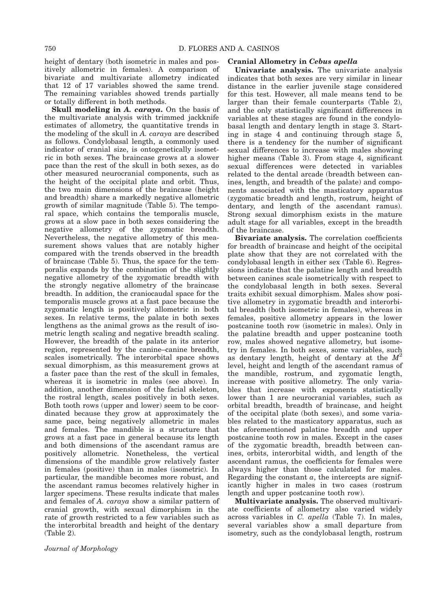height of dentary (both isometric in males and positively allometric in females). A comparison of bivariate and multivariate allometry indicated that 12 of 17 variables showed the same trend. The remaining variables showed trends partially or totally different in both methods.

**Skull modeling in A. caraya.** On the basis of the multivariate analysis with trimmed jackknife estimates of allometry, the quantitative trends in the modeling of the skull in A. caraya are described as follows. Condylobasal length, a commonly used indicator of cranial size, is ontogenetically isometric in both sexes. The braincase grows at a slower pace than the rest of the skull in both sexes, as do other measured neurocranial components, such as the height of the occipital plate and orbit. Thus, the two main dimensions of the braincase (height and breadth) share a markedly negative allometric growth of similar magnitude (Table 5). The temporal space, which contains the temporalis muscle, grows at a slow pace in both sexes considering the negative allometry of the zygomatic breadth. Nevertheless, the negative allometry of this measurement shows values that are notably higher compared with the trends observed in the breadth of braincase (Table 5). Thus, the space for the temporalis expands by the combination of the slightly negative allometry of the zygomatic breadth with the strongly negative allometry of the braincase breadth. In addition, the craniocaudal space for the temporalis muscle grows at a fast pace because the zygomatic length is positively allometric in both sexes. In relative terms, the palate in both sexes lengthens as the animal grows as the result of isometric length scaling and negative breadth scaling. However, the breadth of the palate in its anterior region, represented by the canine–canine breadth, scales isometrically. The interorbital space shows sexual dimorphism, as this measurement grows at a faster pace than the rest of the skull in females, whereas it is isometric in males (see above). In addition, another dimension of the facial skeleton, the rostral length, scales positively in both sexes. Both tooth rows (upper and lower) seem to be coordinated because they grow at approximately the same pace, being negatively allometric in males and females. The mandible is a structure that grows at a fast pace in general because its length and both dimensions of the ascendant ramus are positively allometric. Nonetheless, the vertical dimensions of the mandible grow relatively faster in females (positive) than in males (isometric). In particular, the mandible becomes more robust, and the ascendant ramus becomes relatively higher in larger specimens. These results indicate that males and females of A. caraya show a similar pattern of cranial growth, with sexual dimorphism in the rate of growth restricted to a few variables such as the interorbital breadth and height of the dentary (Table 2).

### Cranial Allometry in Cebus apella

Univariate analysis. The univariate analysis indicates that both sexes are very similar in linear distance in the earlier juvenile stage considered for this test. However, all male means tend to be larger than their female counterparts (Table 2), and the only statistically significant differences in variables at these stages are found in the condylobasal length and dentary length in stage 3. Starting in stage 4 and continuing through stage 5, there is a tendency for the number of significant sexual differences to increase with males showing higher means (Table 3). From stage 4, significant sexual differences were detected in variables related to the dental arcade (breadth between canines, length, and breadth of the palate) and components associated with the masticatory apparatus (zygomatic breadth and length, rostrum, height of dentary, and length of the ascendant ramus). Strong sexual dimorphism exists in the mature adult stage for all variables, except in the breadth of the braincase.

Bivariate analysis. The correlation coefficients for breadth of braincase and height of the occipital plate show that they are not correlated with the condylobasal length in either sex (Table 6). Regressions indicate that the palatine length and breadth between canines scale isometrically with respect to the condylobasal length in both sexes. Several traits exhibit sexual dimorphism. Males show positive allometry in zygomatic breadth and interorbital breadth (both isometric in females), whereas in females, positive allometry appears in the lower postcanine tooth row (isometric in males). Only in the palatine breadth and upper postcanine tooth row, males showed negative allometry, but isometry in females. In both sexes, some variables, such as dentary length, height of dentary at the  $M^2$ level, height and length of the ascendant ramus of the mandible, rostrum, and zygomatic length, increase with positive allometry. The only variables that increase with exponents statistically lower than 1 are neurocranial variables, such as orbital breadth, breadth of braincase, and height of the occipital plate (both sexes), and some variables related to the masticatory apparatus, such as the aforementioned palatine breadth and upper postcanine tooth row in males. Except in the cases of the zygomatic breadth, breadth between canines, orbits, interorbital width, and length of the ascendant ramus, the coefficients for females were always higher than those calculated for males. Regarding the constant  $a$ , the intercepts are significantly higher in males in two cases (rostrum length and upper postcanine tooth row).

Multivariate analysis. The observed multivariate coefficients of allometry also varied widely across variables in C. apella (Table 7). In males, several variables show a small departure from isometry, such as the condylobasal length, rostrum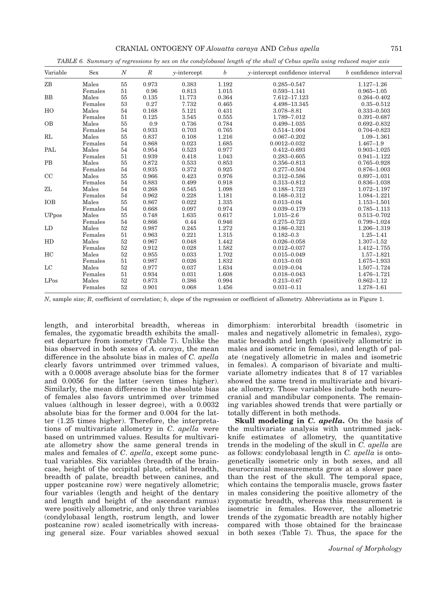| CRANIAL ONTOGENY OF Alouatta caraya AND Cebus apella |  |  | 751 |
|------------------------------------------------------|--|--|-----|
|                                                      |  |  |     |

TABLE 6. Summary of regressions by sex on the condylobasal length of the skull of Cebus apella using reduced major axis

| Variable   | <b>Sex</b> | $\boldsymbol{N}$ | $\,$ R | $y-intercept$ | $\boldsymbol{b}$ | y-intercept confidence interval | b confidence interval |
|------------|------------|------------------|--------|---------------|------------------|---------------------------------|-----------------------|
| ZB         | Males      | 55               | 0.973  | 0.383         | 1.192            | $0.285 - 0.547$                 | $1.127 - 1.26$        |
|            | Females    | 51               | 0.96   | 0.813         | 1.015            | $0.593 - 1.141$                 | $0.965 - 1.05$        |
| <b>BB</b>  | Males      | 55               | 0.135  | 11.773        | 0.364            | 7.612-17.123                    | $0.264 - 0.402$       |
|            | Females    | 53               | 0.27   | 7.732         | 0.465            | 4.498-13.345                    | $0.35 - 0.512$        |
| HO         | Males      | 54               | 0.168  | 5.121         | 0.431            | 3.078-8.81                      | $0.333 - 0.503$       |
|            | Females    | 51               | 0.125  | 3.545         | 0.555            | 1.789-7.012                     | $0.391 - 0.687$       |
| <b>OB</b>  | Males      | 55               | 0.9    | 0.736         | 0.784            | $0.499 - 1.035$                 | $0.692 - 0.832$       |
|            | Females    | 54               | 0.933  | 0.703         | 0.765            | $0.514 - 1.004$                 | $0.704 - 0.823$       |
| RL         | Males      | 55               | 0.837  | 0.108         | 1.216            | $0.067 - 0.202$                 | $1.09 - 1.361$        |
|            | Females    | 54               | 0.868  | 0.023         | 1.685            | $0.0012 - 0.032$                | $1.467 - 1.9$         |
| PAL        | Males      | 54               | 0.954  | 0.523         | 0.977            | $0.412 - 0.693$                 | $0.903 - 1.025$       |
|            | Females    | 51               | 0.939  | 0.418         | 1.043            | $0.283 - 0.605$                 | $0.941 - 1.122$       |
| <b>PB</b>  | Males      | 55               | 0.872  | 0.533         | 0.853            | $0.356 - 0.813$                 | $0.765 - 0.928$       |
|            | Females    | 54               | 0.935  | 0.372         | 0.925            | $0.277 - 0.504$                 | $0.876 - 1.003$       |
| CC         | Males      | 55               | 0.966  | 0.423         | 0.976            | $0.312 - 0.586$                 | $0.897 - 1.031$       |
|            | Females    | 54               | 0.883  | 0.499         | 0.918            | $0.313 - 0.812$                 | $0.836 - 1.038$       |
| ZL         | Males      | 54               | 0.268  | 0.545         | 1.098            | 0.188-1.723                     | 1.072-1.197           |
|            | Females    | 54               | 0.962  | 0.228         | 1.181            | $0.168 - 0.312$                 | 1.084-1.221           |
| <b>IOB</b> | Males      | 55               | 0.867  | 0.022         | 1.335            | $0.013 - 0.04$                  | 1.153-1.501           |
|            | Females    | 54               | 0.668  | 0.097         | 0.974            | $0.039 - 0.179$                 | $0.785 - 1.113$       |
| UPpos      | Males      | 55               | 0.748  | 1.635         | 0.617            | $1.015 - 2.6$                   | $0.513 - 0.702$       |
|            | Females    | 54               | 0.866  | 0.44          | 0.946            | $0.275 - 0.723$                 | 0.799-1.024           |
| LD         | Males      | 52               | 0.987  | 0.245         | 1.272            | $0.186 - 0.321$                 | 1.206-1.319           |
|            | Females    | 51               | 0.963  | 0.221         | 1.315            | $0.182 - 0.3$                   | $1.25 - 1.41$         |
| HD         | Males      | 52               | 0.967  | 0.048         | 1.442            | $0.026 - 0.058$                 | $1.307 - 1.52$        |
|            | Females    | 52               | 0.912  | 0.028         | 1.582            | $0.012 - 0.037$                 | 1.412-1.755           |
| HC         | Males      | 52               | 0.955  | 0.033         | 1.702            | $0.015 - 0.049$                 | $1.57 - 1.821$        |
|            | Females    | 51               | 0.987  | 0.026         | 1.832            | $0.013 - 0.03$                  | 1.675-1.933           |
| LC         | Males      | 52               | 0.977  | 0.037         | 1.634            | $0.019 - 0.04$                  | 1.507-1.724           |
|            | Females    | 51               | 0.934  | 0.031         | 1.608            | $0.018 - 0.043$                 | 1.476-1.721           |
| LPos       | Males      | 52               | 0.873  | 0.386         | 0.994            | $0.213 - 0.67$                  | $0.862 - 1.12$        |
|            | Females    | 52               | 0.901  | 0.068         | 1.456            | $0.031 - 0.11$                  | 1.278-1.61            |

 $N$ , sample size;  $R$ , coefficient of correlation;  $b$ , slope of the regression or coefficient of allometry. Abbreviations as in Figure 1.

length, and interorbital breadth, whereas in females, the zygomatic breadth exhibits the smallest departure from isometry (Table 7). Unlike the bias observed in both sexes of A. caraya, the mean difference in the absolute bias in males of C. apella clearly favors untrimmed over trimmed values, with a 0.0008 average absolute bias for the former and 0.0056 for the latter (seven times higher). Similarly, the mean difference in the absolute bias of females also favors untrimmed over trimmed values (although in lesser degree), with a 0.0032 absolute bias for the former and 0.004 for the latter (1.25 times higher). Therefore, the interpretations of multivariate allometry in C. apella were based on untrimmed values. Results for multivariate allometry show the same general trends in males and females of C. apella, except some punctual variables. Six variables (breadth of the braincase, height of the occipital plate, orbital breadth, breadth of palate, breadth between canines, and upper postcanine row) were negatively allometric; four variables (length and height of the dentary and length and height of the ascendant ramus) were positively allometric, and only three variables (condylobasal length, rostrum length, and lower postcanine row) scaled isometrically with increasing general size. Four variables showed sexual

dimorphism: interorbital breadth (isometric in males and negatively allometric in females), zygomatic breadth and length (positively allometric in males and isometric in females), and length of palate (negatively allometric in males and isometric in females). A comparison of bivariate and multivariate allometry indicates that 8 of 17 variables showed the same trend in multivariate and bivariate allometry. Those variables include both neurocranial and mandibular components. The remaining variables showed trends that were partially or totally different in both methods.

**Skull modeling in C. apella.** On the basis of the multivariate analysis with untrimmed jackknife estimates of allometry, the quantitative trends in the modeling of the skull in C. apella are as follows: condylobasal length in C. apella is ontogenetically isometric only in both sexes, and all neurocranial measurements grow at a slower pace than the rest of the skull. The temporal space, which contains the temporalis muscle, grows faster in males considering the positive allometry of the zygomatic breadth, whereas this measurement is isometric in females. However, the allometric trends of the zygomatic breadth are notably higher compared with those obtained for the braincase in both sexes (Table 7). Thus, the space for the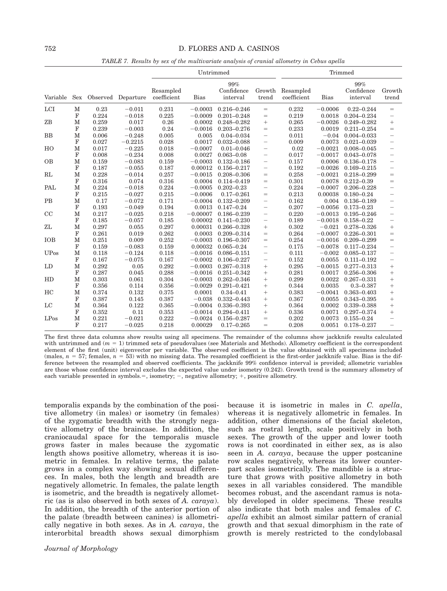TABLE 7. Results by sex of the multivariate analysis of cranial allometry in Cebus apella

|             |             |       |                    |                          | Untrimmed   |                               |                                 |                          |             | Trimmed                       |                          |
|-------------|-------------|-------|--------------------|--------------------------|-------------|-------------------------------|---------------------------------|--------------------------|-------------|-------------------------------|--------------------------|
| Variable    | Sex         |       | Observed Departure | Resampled<br>coefficient | <b>Bias</b> | 99%<br>Confidence<br>interval | Growth<br>trend                 | Resampled<br>coefficient | <b>Bias</b> | 99%<br>Confidence<br>interval | Growth<br>trend          |
| LCI         | М           | 0.23  | $-0.011$           | 0.231                    | $-0.0003$   | $0.216 - 0.246$               | $=$                             | 0.232                    | $-0.0006$   | $0.22 - 0.244$                | $=$                      |
|             | F           | 0.224 | $-0.018$           | 0.225                    | $-0.0009$   | $0.201 - 0.248$               | $=$                             | 0.219                    | 0.0018      | $0.204 - 0.234$               |                          |
| ZB          | $\mathbf M$ | 0.259 | 0.017              | 0.26                     | 0.0002      | $0.248 - 0.282$               | $+$                             | 0.265                    | $-0.0026$   | $0.249 - 0.282$               | $+$                      |
|             | $_{\rm F}$  | 0.239 | $-0.003$           | 0.24                     | $-0.0016$   | $0.203 - 0.276$               | $=$                             | 0.233                    | 0.0019      | $0.211 - 0.254$               | $=$                      |
| BB          | $\mathbf M$ | 0.006 | $-0.248$           | 0.005                    | 0.005       | $0.04 - 0.034$                | $\qquad \qquad -$               | 0.011                    | $-0.04$     | $0.004 - 0.033$               | $\overline{\phantom{0}}$ |
|             | $\mathbf F$ | 0.027 | $-0.2215$          | 0.028                    | 0.0017      | $0.032 - 0.088$               | $\overline{\phantom{0}}$        | 0.009                    | 0.0073      | $0.021 - 0.039$               | $\overline{\phantom{0}}$ |
| HO          | $\mathbf M$ | 0.017 | $-0.225$           | 0.018                    | $-0.0007$   | $0.01 - 0.046$                | $\overline{\phantom{m}}$        | 0.02                     | $-0.0021$   | $0.008 - 0.045$               | $\qquad \qquad -$        |
|             | $\mathbf F$ | 0.008 | $-0.234$           | 0.008                    | 0.0027      | $0.063 - 0.08$                | $\overline{\phantom{m}}$        | 0.017                    | $-0.0017$   | $0.043 - 0.078$               |                          |
| <b>OB</b>   | $\mathbf M$ | 0.159 | $-0.083$           | 0.159                    | $-0.0003$   | $0.132 - 0.186$               | $\overline{\phantom{m}}$        | 0.157                    | 0.0006      | $0.136 - 0.178$               | $\overline{\phantom{0}}$ |
|             | F           | 0.187 | $-0.055$           | 0.187                    | 0.00012     | $0.156 - 0.217$               | $\overline{\phantom{m}}$        | 0.192                    | $-0.0026$   | $0.169 - 0.215$               | $\overline{\phantom{0}}$ |
| RL          | $\mathbf M$ | 0.228 | $-0.014$           | 0.257                    | $-0.0015$   | $0.208 - 0.306$               | $=$                             | 0.258                    | $-0.0021$   | $0.218 - 0.299$               | $=$                      |
|             | $\mathbf F$ | 0.316 | 0.074              | 0.316                    | 0.0004      | $0.114 - 0.419$               | $=$                             | 0.301                    | 0.0078      | $0.212 - 0.39$                | $=$                      |
| PAL         | $\mathbf M$ | 0.224 | $-0.018$           | 0.224                    | $-0.0005$   | $0.202 - 0.23$                | $\overbrace{\phantom{1232211}}$ | 0.224                    | $-0.0007$   | $0.206 - 0.228$               | $\overline{\phantom{0}}$ |
|             | $\mathbf F$ | 0.215 | $-0.027$           | 0.215                    | $-0.0006$   | $0.17 - 0.261$                | $=$                             | 0.213                    | 0.00038     | $0.180 - 0.24$                | $\overline{\phantom{0}}$ |
| PB          | $\mathbf M$ | 0.17  | $-0.072$           | 0.171                    | $-0.0004$   | $0.132 - 0.209$               | $\qquad \qquad -$               | 0.162                    | 0.004       | $0.136 - 0.189$               |                          |
|             | ${\bf F}$   | 0.193 | $-0.049$           | 0.194                    | 0.0013      | $0.147 - 0.24$                | $\overline{\phantom{m}}$        | 0.207                    | $-0.0056$   | $0.173 - 0.23$                | $\overline{\phantom{0}}$ |
| CC          | $\mathbf M$ | 0.217 | $-0.025$           | 0.218                    | $-0.00007$  | $0.186 - 0.239$               | $\qquad \qquad -$               | 0.220                    | $-0.0013$   | $0.195 - 0.246$               | $\overline{\phantom{0}}$ |
|             | ${\bf F}$   | 0.185 | $-0.057$           | 0.185                    | 0.00002     | $0.141 - 0.230$               | $\overline{\phantom{m}}$        | 0.189                    | $-0.0018$   | $0.158 - 0.22$                | $\overline{\phantom{0}}$ |
| ZL          | $\mathbf M$ | 0.297 | 0.055              | 0.297                    | 0.00031     | $0.266 - 0.328$               | $^{+}$                          | 0.302                    | $-0.021$    | $0.278 - 0.326$               | $^{+}$                   |
|             | $\mathbf F$ | 0.261 | 0.019              | 0.262                    | 0.0003      | $0.209 - 0.314$               | $=$                             | 0.264                    | $-0.0007$   | $0.226 - 0.301$               | $=$                      |
| <b>IOB</b>  | $\mathbf M$ | 0.251 | 0.009              | 0.252                    | $-0.0003$   | $0.196 - 0.307$               | $=$                             | 0.254                    | $-0.0016$   | $0.209 - 0.299$               | $=$                      |
|             | $\mathbf F$ | 0.159 | $-0.083$           | 0.159                    | 0.00032     | $0.065 - 0.24$                | $\overline{\phantom{m}}$        | 0.175                    | $-0.0078$   | $0.117 - 0.234$               | $\overline{\phantom{0}}$ |
| <b>UPos</b> | $\mathbf M$ | 0.118 | $-0.124$           | 0.118                    | $-0.0016$   | $0.086 - 0.151$               | $\overline{\phantom{m}}$        | 0.111                    | $-0.002$    | $0.085 - 0.137$               | $\overline{\phantom{0}}$ |
|             | $\mathbf F$ | 0.167 | $-0.075$           | 0.167                    | $-0.0002$   | $0.106 - 0.227$               | $\qquad \qquad -$               | 0.152                    | 0.0055      | $0.111 - 0.192$               | $\overline{\phantom{0}}$ |
| LD          | $\mathbf M$ | 0.292 | 0.05               | 0.292                    | $-0.0003$   | $0.267 - 0.318$               | $\! + \!\!\!\!$                 | 0.295                    | $-0.0015$   | $0.277 - 0.313$               | $^{+}$                   |
|             | $\mathbf F$ | 0.287 | 0.045              | 0.288                    | $-0.0016$   | $0.251 - 0.342$               | $^{+}$                          | 0.281                    | 0.0017      | $0.256 - 0.306$               | $^{+}$                   |
| HD          | $\mathbf M$ | 0.303 | 0.061              | 0.304                    | $-0.0003$   | $0.262 - 0.346$               | $\! + \!\!\!\!$                 | 0.299                    | 0.0022      | $0.267 - 0.331$               | $^{+}$                   |
|             | $\mathbf F$ | 0.356 | 0.114              | 0.356                    | $-0.0029$   | $0.291 - 0.421$               |                                 | 0.344                    | 0.0035      | $0.3 - 0.387$                 | $^{+}$                   |
| HC          | $\mathbf M$ | 0.374 | 0.132              | 0.375                    | 0.0001      | $0.34 - 0.41$                 | $^{+}$                          | 0.383                    | $-0.0041$   | $0.363 - 0.403$               | $^{+}$                   |
|             | F           | 0.387 | 0.145              | 0.387                    | $-0.038$    | $0.332 - 0.443$               |                                 | 0.367                    | 0.0055      | $0.343 - 0.395$               | $^{+}$                   |
| $_{\rm LC}$ | $\mathbf M$ | 0.364 | 0.122              | 0.365                    | $-0.0004$   | $0.336 - 0.393$               | $^{+}$                          | 0.364                    | 0.0002      | $0.339 - 0.388$               | $^{+}$                   |
|             | $\mathbf F$ | 0.352 | 0.11               | 0.353                    | $-0.0014$   | $0.294 - 0.411$               | $^{+}$                          | 0.336                    | 0.0071      | $0.297 - 0.374$               | $^{+}$                   |
| LPos        | M           | 0.221 | $-0.021$           | 0.222                    | $-0.0024$   | $0.156 - 0.287$               | $=$                             | 0.202                    | 0.0073      | $0.155 - 0.24$                | $\overline{\phantom{0}}$ |
|             | F           | 0.217 | $-0.025$           | 0.218                    | 0.00029     | $0.17 - 0.265$                | $=$                             | 0.208                    | 0.0051      | $0.178 - 0.237$               | $\overline{\phantom{0}}$ |

The first three data columns show results using all specimens. The remainder of the columns show jackknife results calculated with untrimmed and  $(m = 1)$  trimmed sets of pseudovalues (see Materials and Methods). Allometry coefficient is the correspondent element of the first (unit) eigenvector per variable. The observed coefficient is the value obtained with all specimens included (males,  $n = 57$ ; females,  $n = 53$ ) with no missing data. The resampled coefficient is the first-order jackknife value. Bias is the difference between the resampled and observed coefficients. The jackknife 99% confidence interval is provided; allometric variables are those whose confidence interval excludes the expected value under isometry (0.242). Growth trend is the summary allometry of each variable presented in symbols. $=$ , isometry;  $-$ , negative allometry;  $+$ , positive allometry.

temporalis expands by the combination of the positive allometry (in males) or isometry (in females) of the zygomatic breadth with the strongly negative allometry of the braincase. In addition, the craniocaudal space for the temporalis muscle grows faster in males because the zygomatic length shows positive allometry, whereas it is isometric in females. In relative terms, the palate grows in a complex way showing sexual differences. In males, both the length and breadth are negatively allometric. In females, the palate length is isometric, and the breadth is negatively allometric (as is also observed in both sexes of A. caraya). In addition, the breadth of the anterior portion of the palate (breadth between canines) is allometrically negative in both sexes. As in A. caraya, the interorbital breadth shows sexual dimorphism

because it is isometric in males in C. apella, whereas it is negatively allometric in females. In addition, other dimensions of the facial skeleton, such as rostral length, scale positively in both sexes. The growth of the upper and lower tooth rows is not coordinated in either sex, as is also seen in A. caraya, because the upper postcanine row scales negatively, whereas its lower counterpart scales isometrically. The mandible is a structure that grows with positive allometry in both sexes in all variables considered. The mandible becomes robust, and the ascendant ramus is notably developed in older specimens. These results also indicate that both males and females of C. apella exhibit an almost similar pattern of cranial growth and that sexual dimorphism in the rate of growth is merely restricted to the condylobasal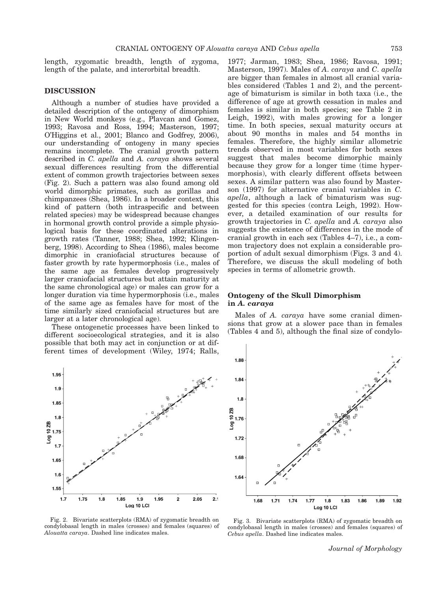length, zygomatic breadth, length of zygoma, length of the palate, and interorbital breadth.

### DISCUSSION

Although a number of studies have provided a detailed description of the ontogeny of dimorphism in New World monkeys (e.g., Plavcan and Gomez, 1993; Ravosa and Ross, 1994; Masterson, 1997; O'Higgins et al., 2001; Blanco and Godfrey, 2006), our understanding of ontogeny in many species remains incomplete. The cranial growth pattern described in C. apella and A. caraya shows several sexual differences resulting from the differential extent of common growth trajectories between sexes (Fig. 2). Such a pattern was also found among old world dimorphic primates, such as gorillas and chimpanzees (Shea, 1986). In a broader context, this kind of pattern (both intraspecific and between related species) may be widespread because changes in hormonal growth control provide a simple physiological basis for these coordinated alterations in growth rates (Tanner, 1988; Shea, 1992; Klingenberg, 1998). According to Shea (1986), males become dimorphic in craniofacial structures because of faster growth by rate hypermorphosis (i.e., males of the same age as females develop progressively larger craniofacial structures but attain maturity at the same chronological age) or males can grow for a longer duration via time hypermorphosis (i.e., males of the same age as females have for most of the time similarly sized craniofacial structures but are larger at a later chronological age).

These ontogenetic processes have been linked to different socioecological strategies, and it is also possible that both may act in conjunction or at different times of development (Wiley, 1974; Ralls,



Fig. 2. Bivariate scatterplots (RMA) of zygomatic breadth on condylobasal length in males (crosses) and females (squares) of Alouatta caraya. Dashed line indicates males.

1977; Jarman, 1983; Shea, 1986; Ravosa, 1991; Masterson, 1997). Males of A. caraya and C. apella are bigger than females in almost all cranial variables considered (Tables 1 and 2), and the percentage of bimaturism is similar in both taxa (i.e., the difference of age at growth cessation in males and females is similar in both species; see Table 2 in Leigh, 1992), with males growing for a longer time. In both species, sexual maturity occurs at about 90 months in males and 54 months in females. Therefore, the highly similar allometric trends observed in most variables for both sexes suggest that males become dimorphic mainly because they grow for a longer time (time hypermorphosis), with clearly different offsets between sexes. A similar pattern was also found by Masterson (1997) for alternative cranial variables in C. apella, although a lack of bimaturism was suggested for this species (contra Leigh, 1992). However, a detailed examination of our results for growth trajectories in C. apella and A. caraya also suggests the existence of differences in the mode of cranial growth in each sex (Tables 4–7), i.e., a common trajectory does not explain a considerable proportion of adult sexual dimorphism (Figs. 3 and 4). Therefore, we discuss the skull modeling of both species in terms of allometric growth.

# Ontogeny of the Skull Dimorphism in A. caraya

Males of A. *caraya* have some cranial dimensions that grow at a slower pace than in females (Tables 4 and 5), although the final size of condylo-



Fig. 3. Bivariate scatterplots (RMA) of zygomatic breadth on condylobasal length in males (crosses) and females (squares) of Cebus apella. Dashed line indicates males.

Journal of Morphology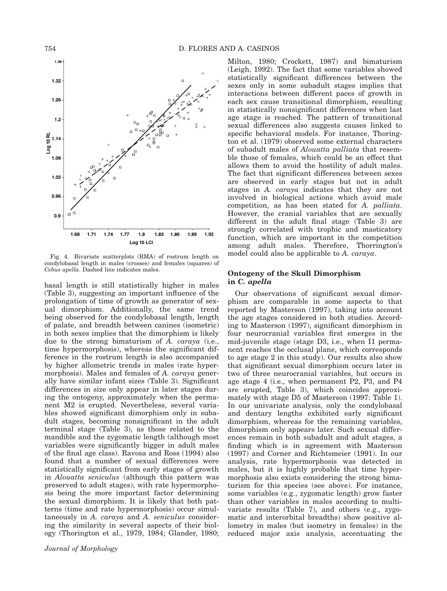

Fig. 4. Bivariate scatterplots (RMA) of rostrum length on condylobasal length in males (crosses) and females (squares) of Cebus apella. Dashed line indicates males.

basal length is still statistically higher in males (Table 3), suggesting an important influence of the prolongation of time of growth as generator of sexual dimorphism. Additionally, the same trend being observed for the condylobasal length, length of palate, and breadth between canines (isometric) in both sexes implies that the dimorphism is likely due to the strong bimaturism of A. caraya (i.e., time hypermorphosis), whereas the significant difference in the rostrum length is also accompanied by higher allometric trends in males (rate hypermorphosis). Males and females of A. caraya generally have similar infant sizes (Table 3). Significant differences in size only appear in later stages during the ontogeny, approximately when the permanent M2 is erupted. Nevertheless, several variables showed significant dimorphism only in subadult stages, becoming nonsignificant in the adult terminal stage (Table 3), as those related to the mandible and the zygomatic length (although most variables were significantly bigger in adult males of the final age class). Ravosa and Ross (1994) also found that a number of sexual differences were statistically significant from early stages of growth in Alouatta seniculus (although this pattern was preserved to adult stages), with rate hypermorphosis being the more important factor determining the sexual dimorphism. It is likely that both patterns (time and rate hypermorphosis) occur simultaneously in A. caraya and A. seniculus considering the similarity in several aspects of their biology (Thorington et al., 1979, 1984; Glander, 1980;

Milton, 1980; Crockett, 1987) and bimaturism (Leigh, 1992). The fact that some variables showed statistically significant differences between the sexes only in some subadult stages implies that interactions between different paces of growth in each sex cause transitional dimorphism, resulting in statistically nonsignificant differences when last age stage is reached. The pattern of transitional sexual differences also suggests causes linked to specific behavioral models. For instance, Thorington et al. (1979) observed some external characters of subadult males of Alouatta palliata that resemble those of females, which could be an effect that allows them to avoid the hostility of adult males. The fact that significant differences between sexes are observed in early stages but not in adult stages in A. caraya indicates that they are not involved in biological actions which avoid male competition, as has been stated for A. palliata. However, the cranial variables that are sexually different in the adult final stage (Table 3) are strongly correlated with trophic and masticatory function, which are important in the competition among adult males. Therefore, Thorrington's model could also be applicable to A. *caraya*.

#### Ontogeny of the Skull Dimorphism in C. apella

Our observations of significant sexual dimorphism are comparable in some aspects to that reported by Masterson (1997), taking into account the age stages considered in both studies. According to Masterson (1997), significant dimorphism in four neurocranial variables first emerges in the mid-juvenile stage (stage D3, i.e., when I1 permanent reaches the occlusal plane, which corresponds to age stage 2 in this study). Our results also show that significant sexual dimorphism occurs later in two of three neurocranial variables, but occurs in age stage 4 (i.e., when permanent P2, P3, and P4 are erupted, Table 3), which coincides approximately with stage D5 of Masterson (1997: Table 1). In our univariate analysis, only the condylobasal and dentary lengths exhibited early significant dimorphism, whereas for the remaining variables, dimorphism only appears later. Such sexual differences remain in both subadult and adult stages, a finding which is in agreement with Masterson (1997) and Corner and Richtsmeier (1991). In our analysis, rate hypermorphosis was detected in males, but it is highly probable that time hypermorphosis also exists considering the strong bimaturism for this species (see above). For instance, some variables (e.g., zygomatic length) grow faster than other variables in males according to multivariate results (Table 7), and others (e.g., zygomatic and interorbital breadths) show positive allometry in males (but isometry in females) in the reduced major axis analysis, accentuating the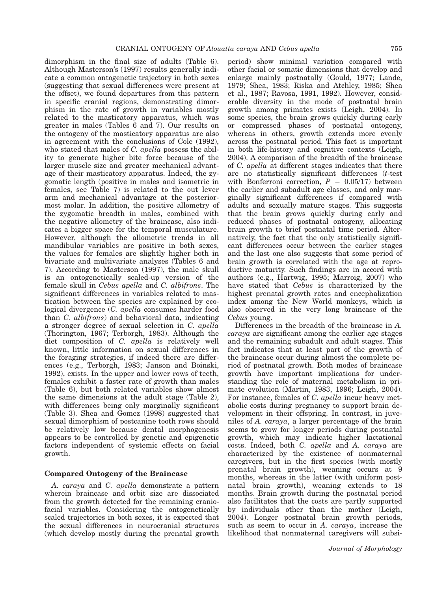dimorphism in the final size of adults (Table 6). Although Masterson's (1997) results generally indicate a common ontogenetic trajectory in both sexes (suggesting that sexual differences were present at the offset), we found departures from this pattern in specific cranial regions, demonstrating dimorphism in the rate of growth in variables mostly related to the masticatory apparatus, which was greater in males (Tables 6 and 7). Our results on the ontogeny of the masticatory apparatus are also in agreement with the conclusions of Cole (1992), who stated that males of C. apella possess the ability to generate higher bite force because of the larger muscle size and greater mechanical advantage of their masticatory apparatus. Indeed, the zygomatic length (positive in males and isometric in females, see Table 7) is related to the out lever arm and mechanical advantage at the posteriormost molar. In addition, the positive allometry of the zygomatic breadth in males, combined with the negative allometry of the braincase, also indicates a bigger space for the temporal musculature. However, although the allometric trends in all mandibular variables are positive in both sexes, the values for females are slightly higher both in bivariate and multivariate analyses (Tables 6 and 7). According to Masterson (1997), the male skull is an ontogenetically scaled-up version of the female skull in Cebus apella and C. albifrons. The significant differences in variables related to mastication between the species are explained by ecological divergence (C. apella consumes harder food than C. albifrons) and behavioral data, indicating a stronger degree of sexual selection in C. apella (Thorington, 1967; Terborgh, 1983). Although the diet composition of C. apella is relatively well known, little information on sexual differences in the foraging strategies, if indeed there are differences (e.g., Terborgh, 1983; Janson and Boinski, 1992), exists. In the upper and lower rows of teeth, females exhibit a faster rate of growth than males (Table 6), but both related variables show almost the same dimensions at the adult stage (Table 2), with differences being only marginally significant (Table 3). Shea and Gomez (1998) suggested that sexual dimorphism of postcanine tooth rows should be relatively low because dental morphogenesis appears to be controlled by genetic and epigenetic factors independent of systemic effects on facial growth.

### Compared Ontogeny of the Braincase

A. caraya and C. apella demonstrate a pattern wherein braincase and orbit size are dissociated from the growth detected for the remaining craniofacial variables. Considering the ontogenetically scaled trajectories in both sexes, it is expected that the sexual differences in neurocranial structures (which develop mostly during the prenatal growth

period) show minimal variation compared with other facial or somatic dimensions that develop and enlarge mainly postnatally (Gould, 1977; Lande, 1979; Shea, 1983; Riska and Atchley, 1985; Shea et al., 1987; Ravosa, 1991, 1992). However, considerable diversity in the mode of postnatal brain growth among primates exists (Leigh, 2004). In some species, the brain grows quickly during early or compressed phases of postnatal ontogeny, whereas in others, growth extends more evenly across the postnatal period. This fact is important in both life-history and cognitive contexts (Leigh, 2004). A comparison of the breadth of the braincase of C. apella at different stages indicates that there are no statistically significant differences (t-test with Bonferroni correction,  $P = 0.05/17$ ) between the earlier and subadult age classes, and only marginally significant differences if compared with adults and sexually mature stages. This suggests that the brain grows quickly during early and reduced phases of postnatal ontogeny, allocating brain growth to brief postnatal time period. Alternatively, the fact that the only statistically significant differences occur between the earlier stages and the last one also suggests that some period of brain growth is correlated with the age at reproductive maturity. Such findings are in accord with authors (e.g., Hartwig, 1995; Marroig, 2007) who have stated that Cebus is characterized by the highest prenatal growth rates and encephalization index among the New World monkeys, which is also observed in the very long braincase of the Cebus young.

Differences in the breadth of the braincase in A. caraya are significant among the earlier age stages and the remaining subadult and adult stages. This fact indicates that at least part of the growth of the braincase occur during almost the complete period of postnatal growth. Both modes of braincase growth have important implications for understanding the role of maternal metabolism in primate evolution (Martin, 1983, 1996; Leigh, 2004). For instance, females of C. apella incur heavy metabolic costs during pregnancy to support brain development in their offspring. In contrast, in juveniles of A. caraya, a larger percentage of the brain seems to grow for longer periods during postnatal growth, which may indicate higher lactational costs. Indeed, both C. apella and A. caraya are characterized by the existence of nonmaternal caregivers, but in the first species (with mostly prenatal brain growth), weaning occurs at 9 months, whereas in the latter (with uniform postnatal brain growth), weaning extends to 18 months. Brain growth during the postnatal period also facilitates that the costs are partly supported by individuals other than the mother (Leigh, 2004). Longer postnatal brain growth periods, such as seem to occur in A. caraya, increase the likelihood that nonmaternal caregivers will subsi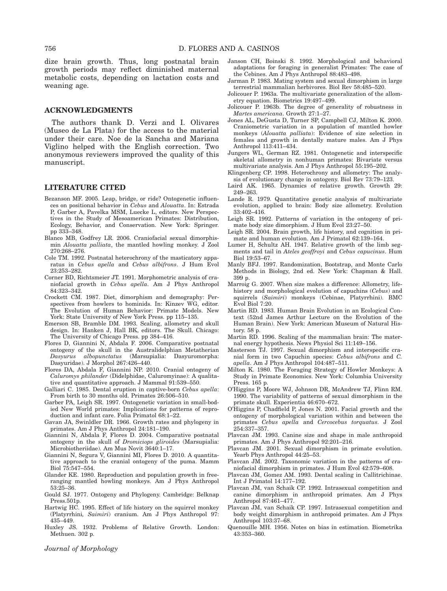dize brain growth. Thus, long postnatal brain growth periods may reflect diminished maternal metabolic costs, depending on lactation costs and weaning age.

### ACKNOWLEDGMENTS

The authors thank D. Verzi and I. Olivares (Museo de La Plata) for the access to the material under their care. Noe de la Sancha and Mariana Viglino helped with the English correction. Two anonymous reviewers improved the quality of this manuscript.

# LITERATURE CITED

- Bezanson MF. 2005. Leap, bridge, or ride? Ontogenetic influences on positional behavior in Cebus and Alouatta. In: Estrada P, Garber A, Pavelka MSM, Luecke L, editors. New Perspectives in the Study of Mesoamerican Primates: Distribution, Ecology, Behavior, and Conservation. New York: Springer. pp 333–348.
- Blanco MB, Godfrey LR. 2006. Craniofacial sexual dimorphismin Alouatta palliata, the mantled howling monkey. J Zool 270:268–276.
- Cole TM. 1992. Postnatal heterochrony of the masticatory apparatus in Cebus apella and Cebus albifrons. J Hum Evol 23:253–282.
- Corner BD, Richtsmeier JT. 1991. Morphometric analysis of craniofacial growth in Cebus apella. Am J Phys Anthropol 84:323–342.
- Crockett CM. 1987. Diet, dimorphism and demography: Perspectives from howlers to hominids. In: Kinzev WG, editor. The Evolution of Human Behavior: Primate Models. New York: State University of New York Press. pp 115–135.
- Emerson SB, Bramble DM. 1993. Scaling, allometry and skull design. In: Hanken J, Hall BK, editors. The Skull. Chicago: The University of Chicago Press. pp 384–416.
- Flores D, Giannini N, Abdala F. 2006. Comparative postnatal ontogeny of the skull in the Australidelphian Metatherian Dasyurus albopunctatus (Marsupialia: Dasyuromorpha: Dasyuridae). J Morphol 267:426–440.
- Flores DA, Abdala F, Giannini NP. 2010. Cranial ontogeny of Caluromys philander (Didelphidae, Caluromyinae): A qualitative and quantitative approach. J Mammal 91:539–550.
- Galliari C. 1985. Dental eruption in captive-born Cebus apella: From birth to 30 months old. Primates 26:506–510.
- Garber PA, Leigh SR. 1997. Ontogenetic variation in small-bodied New World primates: Implications for patterns of reproduction and infant care. Folia Primatol 68:1–22.
- Gavan JA, Swinldler DR. 1966. Growth rates and phylogeny in primates. Am J Phys Anthropol 24:181–190.
- Giannini N, Abdala F, Flores D. 2004. Comparative postnatal ontogeny in the skull of Dromiciops gliroides (Marsupialia: Microbiotheriidae). Am Mus Novit 3640:1–17.
- Giannini N, Segura V, Giannini MI, Flores D. 2010. A quantitative approach to the cranial ontogeny of the puma. Mamm Biol 75:547–554.
- Glander KE. 1980. Reproduction and population growth in freeranging mantled howling monkeys. Am J Phys Anthropol 53:25–36.
- Gould SJ. 1977. Ontogeny and Phylogeny. Cambridge: Belknap Press.501p.
- Hartwig HC. 1995. Effect of life history on the squirrel monkey (Platyrrhini, Saimiri) cranium. Am J Phys Anthropol 97: 435–449.
- Huxley JS. 1932. Problems of Relative Growth. London: Methuen. 302 p.

Journal of Morphology

- Janson CH, Boinski S. 1992. Morphological and behavioral adaptations for foraging in generalist Primates: The case of the Cebines. Am J Phys Anthropol 88:483–498.
- Jarman P. 1983. Mating system and sexual dimorphism in large terrestrial mammalian herbivores. Biol Rev 58:485–520.
- Jolicouer P. 1963a. The multivariate generalization of the allometry equation. Biometrics 19:497–499.
- Jolicouer P. 1963b. The degree of generality of robustness in Martes americana. Growth 27:1–27.
- Jones AL, DeGusta D, Turner SP, Campbell CJ, Milton K. 2000. Craniometric variation in a population of mantled howler monkeys (Alouatta palliata): Evidence of size selection in females and growth in dentally mature males. Am J Phys Anthropol 113:411–434.
- Jungers WL, German RZ. 1981. Ontogenetic and interspecific skeletal allometry in nonhuman primates: Bivariate versus multivariate analysis. Am J Phys Anthropol 55:195–202.
- Klingenberg CP. 1998. Heterochrony and allometry: The analysis of evolutionary change in ontogeny. Biol Rev 73:79–123.
- Laird AK. 1965. Dynamics of relative growth. Growth 29: 249–263.
- Lande R. 1979. Quantitative genetic analysis of multivariate evolution, applied to brain: Body size allometry. Evolution 33:402–416.
- Leigh SR. 1992. Patterns of variation in the ontogeny of primate body size dimorphism. J Hum Evol 23:27–50.
- Leigh SR. 2004. Brain growth, life history, and cognition in primate and human evolution. Am J Primatol 62:139–164.
- Lumer H, Schultz AH. 1947. Relative growth of the limb segments and tail in Ateles geoffroyi and Cebus capucinus. Hum Biol 19:53–67.
- Manly BFJ. 1997. Randomization, Bootstrap, and Monte Carlo Methods in Biology, 2nd ed. New York: Chapman & Hall. 399 p.
- Marroig G. 2007. When size makes a difference: Allometry, lifehistory and morphological evolution of capuchins (Cebus) and squirrels (Saimiri) monkeys (Cebinae, Platyrrhini). BMC Evol Biol  $7:20$ .
- Martin RD. 1983. Human Brain Evolution in an Ecological Context (52nd James Arthur Lecture on the Evolution of the Human Brain). New York: American Museum of Natural History. 58 p.
- Martin RD. 1996. Scaling of the mammalian brain: The maternal energy hypothesis. News Physiol Sci 11:149–156.
- Masterson TJ. 1997. Sexual dimorphism and interspecific cranial form in two Capuchin species: Cebus albifrons and C. apella. Am J Phys Anthropol 104:487–511.
- Milton K. 1980. The Foraging Strategy of Howler Monkeys: A Study in Primate Economics. New York: Columbia University Press. 165 p.
- O'Higgins P, Moore WJ, Johnson DR, McAndrew TJ, Flinn RM. 1990. The variability of patterns of sexual dimorphism in the primate skull. Experientia 46:670–672.
- O'Higgins P, Chadfield P, Jones N. 2001. Facial growth and the ontogeny of morphological variation within and between the primates Cebus apella and Cercocebus torquatus. J Zool 254:337–357.
- Plavcan JM. 1993. Canine size and shape in male anthropoid primates. Am J Phys Anthropol 92:201–216.
- Plavcan JM. 2001. Sexual dimorphism in primate evolution. Yearb Phys Anthropol 44:25–53.
- Plavcan JM. 2002. Taxonomic variation in the patterns of craniofacial dimorphism in primates. J Hum Evol 42:579–608.
- Plavcan JM, Gomez AM. 1993. Dental scaling in Callitrichinae. Int J Primatol 14:177–192.
- Plavcan JM, van Schaik CP. 1992. Intrasexual competition and canine dimorphism in anthropoid primates. Am J Phys Anthropol 87:461–477.
- Plavcan JM, van Schaik CP. 1997. Intrasexual competition and body weight dimorphism in anthropoid primates. Am J Phys Anthropol  $103.37-\overline{68}$
- Quenouille MH. 1956. Notes on bias in estimation. Biometrika 43:353–360.